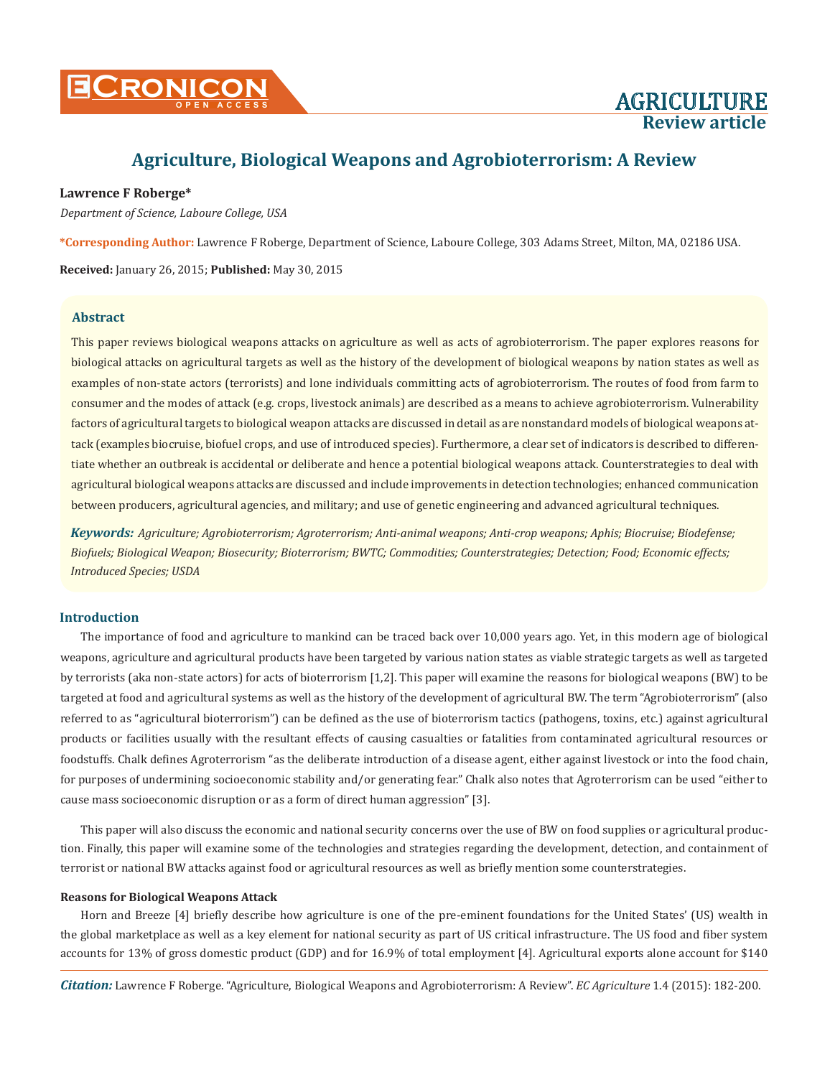

# **Lawrence F Roberge\***

*Department of Science, Laboure College, USA*

**\*Corresponding Author:** Lawrence F Roberge, Department of Science, Laboure College, 303 Adams Street, Milton, MA, 02186 USA.

**Received:** January 26, 2015; **Published:** May 30, 2015

#### **Abstract**

This paper reviews biological weapons attacks on agriculture as well as acts of agrobioterrorism. The paper explores reasons for biological attacks on agricultural targets as well as the history of the development of biological weapons by nation states as well as examples of non-state actors (terrorists) and lone individuals committing acts of agrobioterrorism. The routes of food from farm to consumer and the modes of attack (e.g. crops, livestock animals) are described as a means to achieve agrobioterrorism. Vulnerability factors of agricultural targets to biological weapon attacks are discussed in detail as are nonstandard models of biological weapons attack (examples biocruise, biofuel crops, and use of introduced species). Furthermore, a clear set of indicators is described to differentiate whether an outbreak is accidental or deliberate and hence a potential biological weapons attack. Counterstrategies to deal with agricultural biological weapons attacks are discussed and include improvements in detection technologies; enhanced communication between producers, agricultural agencies, and military; and use of genetic engineering and advanced agricultural techniques.

*Keywords: Agriculture; Agrobioterrorism; Agroterrorism; Anti-animal weapons; Anti-crop weapons; Aphis; Biocruise; Biodefense; Biofuels; Biological Weapon; Biosecurity; Bioterrorism; BWTC; Commodities; Counterstrategies; Detection; Food; Economic effects; Introduced Species; USDA*

## **Introduction**

The importance of food and agriculture to mankind can be traced back over 10,000 years ago. Yet, in this modern age of biological weapons, agriculture and agricultural products have been targeted by various nation states as viable strategic targets as well as targeted by terrorists (aka non-state actors) for acts of bioterrorism [1,2]. This paper will examine the reasons for biological weapons (BW) to be targeted at food and agricultural systems as well as the history of the development of agricultural BW. The term "Agrobioterrorism" (also referred to as "agricultural bioterrorism") can be defined as the use of bioterrorism tactics (pathogens, toxins, etc.) against agricultural products or facilities usually with the resultant effects of causing casualties or fatalities from contaminated agricultural resources or foodstuffs. Chalk defines Agroterrorism "as the deliberate introduction of a disease agent, either against livestock or into the food chain, for purposes of undermining socioeconomic stability and/or generating fear." Chalk also notes that Agroterrorism can be used "either to cause mass socioeconomic disruption or as a form of direct human aggression" [3].

This paper will also discuss the economic and national security concerns over the use of BW on food supplies or agricultural production. Finally, this paper will examine some of the technologies and strategies regarding the development, detection, and containment of terrorist or national BW attacks against food or agricultural resources as well as briefly mention some counterstrategies.

### **Reasons for Biological Weapons Attack**

Horn and Breeze [4] briefly describe how agriculture is one of the pre-eminent foundations for the United States' (US) wealth in the global marketplace as well as a key element for national security as part of US critical infrastructure. The US food and fiber system accounts for 13% of gross domestic product (GDP) and for 16.9% of total employment [4]. Agricultural exports alone account for \$140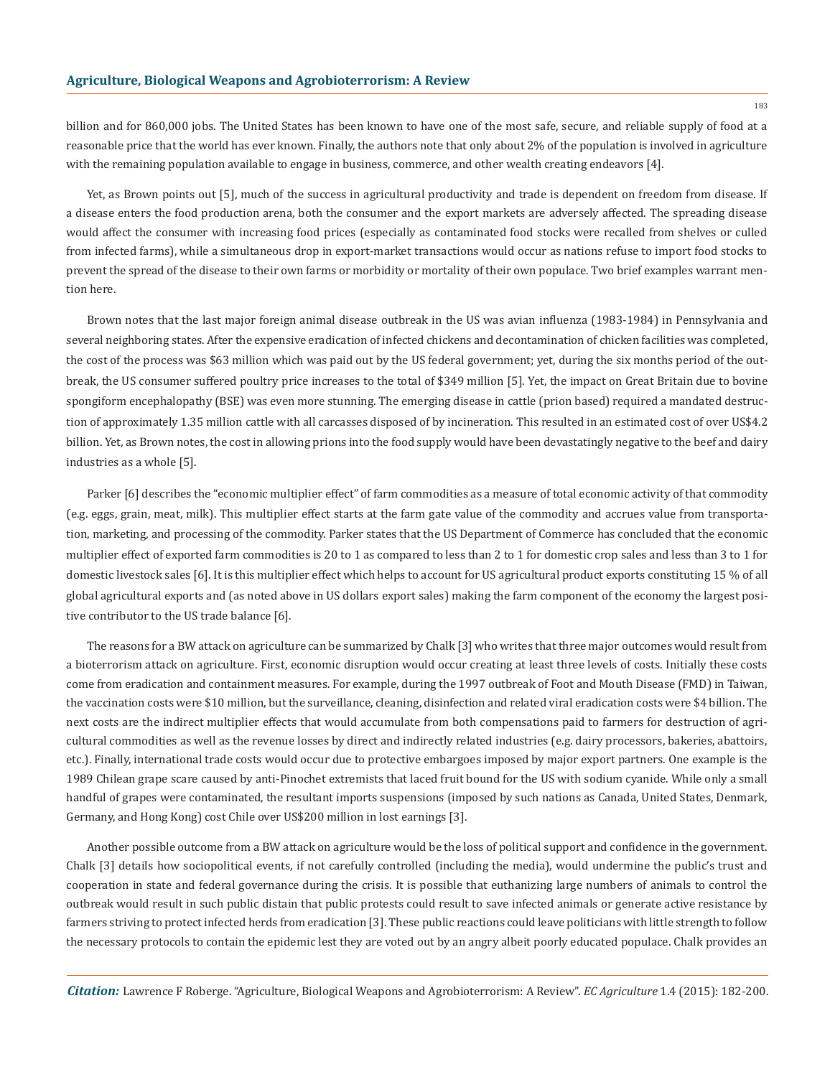billion and for 860,000 jobs. The United States has been known to have one of the most safe, secure, and reliable supply of food at a reasonable price that the world has ever known. Finally, the authors note that only about 2% of the population is involved in agriculture with the remaining population available to engage in business, commerce, and other wealth creating endeavors [4].

Yet, as Brown points out [5], much of the success in agricultural productivity and trade is dependent on freedom from disease. If a disease enters the food production arena, both the consumer and the export markets are adversely affected. The spreading disease would affect the consumer with increasing food prices (especially as contaminated food stocks were recalled from shelves or culled from infected farms), while a simultaneous drop in export-market transactions would occur as nations refuse to import food stocks to prevent the spread of the disease to their own farms or morbidity or mortality of their own populace. Two brief examples warrant mention here.

Brown notes that the last major foreign animal disease outbreak in the US was avian influenza (1983-1984) in Pennsylvania and several neighboring states. After the expensive eradication of infected chickens and decontamination of chicken facilities was completed, the cost of the process was \$63 million which was paid out by the US federal government; yet, during the six months period of the outbreak, the US consumer suffered poultry price increases to the total of \$349 million [5]. Yet, the impact on Great Britain due to bovine spongiform encephalopathy (BSE) was even more stunning. The emerging disease in cattle (prion based) required a mandated destruction of approximately 1.35 million cattle with all carcasses disposed of by incineration. This resulted in an estimated cost of over US\$4.2 billion. Yet, as Brown notes, the cost in allowing prions into the food supply would have been devastatingly negative to the beef and dairy industries as a whole [5].

Parker [6] describes the "economic multiplier effect" of farm commodities as a measure of total economic activity of that commodity (e.g. eggs, grain, meat, milk). This multiplier effect starts at the farm gate value of the commodity and accrues value from transportation, marketing, and processing of the commodity. Parker states that the US Department of Commerce has concluded that the economic multiplier effect of exported farm commodities is 20 to 1 as compared to less than 2 to 1 for domestic crop sales and less than 3 to 1 for domestic livestock sales [6]. It is this multiplier effect which helps to account for US agricultural product exports constituting 15 % of all global agricultural exports and (as noted above in US dollars export sales) making the farm component of the economy the largest positive contributor to the US trade balance [6].

The reasons for a BW attack on agriculture can be summarized by Chalk [3] who writes that three major outcomes would result from a bioterrorism attack on agriculture. First, economic disruption would occur creating at least three levels of costs. Initially these costs come from eradication and containment measures. For example, during the 1997 outbreak of Foot and Mouth Disease (FMD) in Taiwan, the vaccination costs were \$10 million, but the surveillance, cleaning, disinfection and related viral eradication costs were \$4 billion. The next costs are the indirect multiplier effects that would accumulate from both compensations paid to farmers for destruction of agricultural commodities as well as the revenue losses by direct and indirectly related industries (e.g. dairy processors, bakeries, abattoirs, etc.). Finally, international trade costs would occur due to protective embargoes imposed by major export partners. One example is the 1989 Chilean grape scare caused by anti-Pinochet extremists that laced fruit bound for the US with sodium cyanide. While only a small handful of grapes were contaminated, the resultant imports suspensions (imposed by such nations as Canada, United States, Denmark, Germany, and Hong Kong) cost Chile over US\$200 million in lost earnings [3].

Another possible outcome from a BW attack on agriculture would be the loss of political support and confidence in the government. Chalk [3] details how sociopolitical events, if not carefully controlled (including the media), would undermine the public's trust and cooperation in state and federal governance during the crisis. It is possible that euthanizing large numbers of animals to control the outbreak would result in such public distain that public protests could result to save infected animals or generate active resistance by farmers striving to protect infected herds from eradication [3]. These public reactions could leave politicians with little strength to follow the necessary protocols to contain the epidemic lest they are voted out by an angry albeit poorly educated populace. Chalk provides an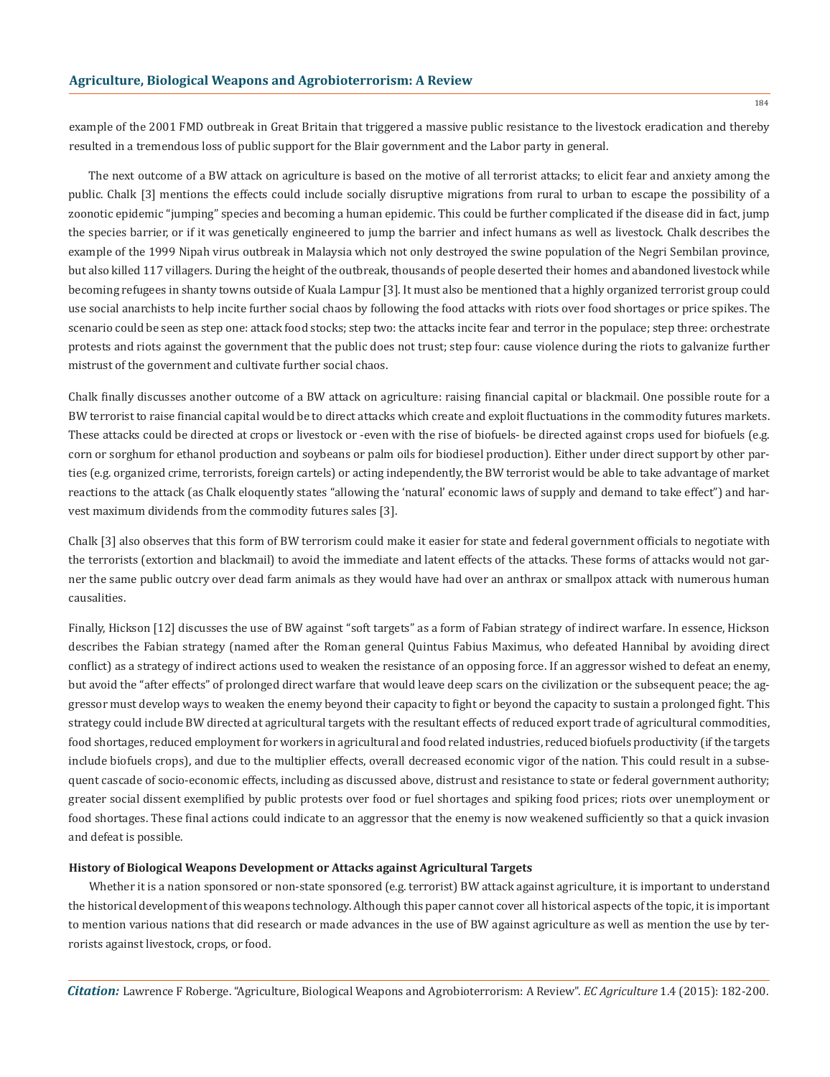example of the 2001 FMD outbreak in Great Britain that triggered a massive public resistance to the livestock eradication and thereby resulted in a tremendous loss of public support for the Blair government and the Labor party in general.

The next outcome of a BW attack on agriculture is based on the motive of all terrorist attacks; to elicit fear and anxiety among the public. Chalk [3] mentions the effects could include socially disruptive migrations from rural to urban to escape the possibility of a zoonotic epidemic "jumping" species and becoming a human epidemic. This could be further complicated if the disease did in fact, jump the species barrier, or if it was genetically engineered to jump the barrier and infect humans as well as livestock. Chalk describes the example of the 1999 Nipah virus outbreak in Malaysia which not only destroyed the swine population of the Negri Sembilan province, but also killed 117 villagers. During the height of the outbreak, thousands of people deserted their homes and abandoned livestock while becoming refugees in shanty towns outside of Kuala Lampur [3]. It must also be mentioned that a highly organized terrorist group could use social anarchists to help incite further social chaos by following the food attacks with riots over food shortages or price spikes. The scenario could be seen as step one: attack food stocks; step two: the attacks incite fear and terror in the populace; step three: orchestrate protests and riots against the government that the public does not trust; step four: cause violence during the riots to galvanize further mistrust of the government and cultivate further social chaos.

Chalk finally discusses another outcome of a BW attack on agriculture: raising financial capital or blackmail. One possible route for a BW terrorist to raise financial capital would be to direct attacks which create and exploit fluctuations in the commodity futures markets. These attacks could be directed at crops or livestock or -even with the rise of biofuels- be directed against crops used for biofuels (e.g. corn or sorghum for ethanol production and soybeans or palm oils for biodiesel production). Either under direct support by other parties (e.g. organized crime, terrorists, foreign cartels) or acting independently, the BW terrorist would be able to take advantage of market reactions to the attack (as Chalk eloquently states "allowing the 'natural' economic laws of supply and demand to take effect") and harvest maximum dividends from the commodity futures sales [3].

Chalk [3] also observes that this form of BW terrorism could make it easier for state and federal government officials to negotiate with the terrorists (extortion and blackmail) to avoid the immediate and latent effects of the attacks. These forms of attacks would not garner the same public outcry over dead farm animals as they would have had over an anthrax or smallpox attack with numerous human causalities.

Finally, Hickson [12] discusses the use of BW against "soft targets" as a form of Fabian strategy of indirect warfare. In essence, Hickson describes the Fabian strategy (named after the Roman general Quintus Fabius Maximus, who defeated Hannibal by avoiding direct conflict) as a strategy of indirect actions used to weaken the resistance of an opposing force. If an aggressor wished to defeat an enemy, but avoid the "after effects" of prolonged direct warfare that would leave deep scars on the civilization or the subsequent peace; the aggressor must develop ways to weaken the enemy beyond their capacity to fight or beyond the capacity to sustain a prolonged fight. This strategy could include BW directed at agricultural targets with the resultant effects of reduced export trade of agricultural commodities, food shortages, reduced employment for workers in agricultural and food related industries, reduced biofuels productivity (if the targets include biofuels crops), and due to the multiplier effects, overall decreased economic vigor of the nation. This could result in a subsequent cascade of socio-economic effects, including as discussed above, distrust and resistance to state or federal government authority; greater social dissent exemplified by public protests over food or fuel shortages and spiking food prices; riots over unemployment or food shortages. These final actions could indicate to an aggressor that the enemy is now weakened sufficiently so that a quick invasion and defeat is possible.

#### **History of Biological Weapons Development or Attacks against Agricultural Targets**

Whether it is a nation sponsored or non-state sponsored (e.g. terrorist) BW attack against agriculture, it is important to understand the historical development of this weapons technology. Although this paper cannot cover all historical aspects of the topic, it is important to mention various nations that did research or made advances in the use of BW against agriculture as well as mention the use by terrorists against livestock, crops, or food.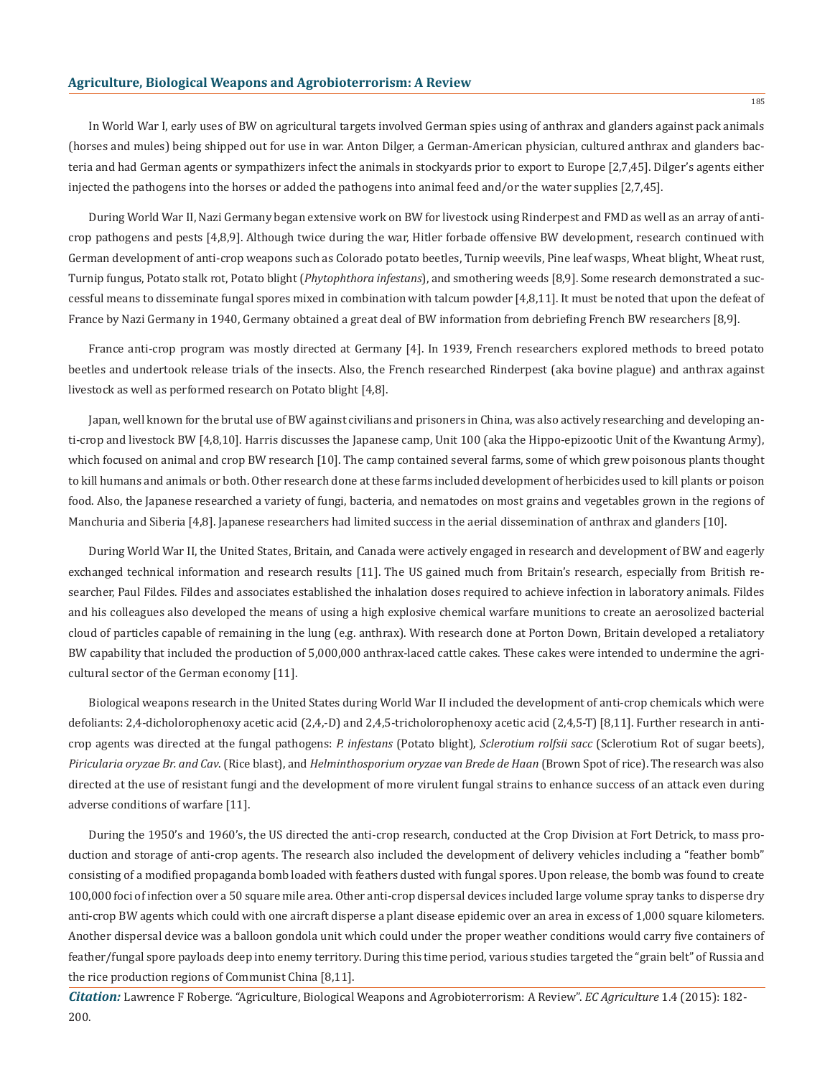In World War I, early uses of BW on agricultural targets involved German spies using of anthrax and glanders against pack animals (horses and mules) being shipped out for use in war. Anton Dilger, a German-American physician, cultured anthrax and glanders bacteria and had German agents or sympathizers infect the animals in stockyards prior to export to Europe [2,7,45]. Dilger's agents either injected the pathogens into the horses or added the pathogens into animal feed and/or the water supplies [2,7,45].

During World War II, Nazi Germany began extensive work on BW for livestock using Rinderpest and FMD as well as an array of anticrop pathogens and pests [4,8,9]. Although twice during the war, Hitler forbade offensive BW development, research continued with German development of anti-crop weapons such as Colorado potato beetles, Turnip weevils, Pine leaf wasps, Wheat blight, Wheat rust, Turnip fungus, Potato stalk rot, Potato blight (*Phytophthora infestans*), and smothering weeds [8,9]. Some research demonstrated a successful means to disseminate fungal spores mixed in combination with talcum powder [4,8,11]. It must be noted that upon the defeat of France by Nazi Germany in 1940, Germany obtained a great deal of BW information from debriefing French BW researchers [8,9].

France anti-crop program was mostly directed at Germany [4]. In 1939, French researchers explored methods to breed potato beetles and undertook release trials of the insects. Also, the French researched Rinderpest (aka bovine plague) and anthrax against livestock as well as performed research on Potato blight [4,8].

Japan, well known for the brutal use of BW against civilians and prisoners in China, was also actively researching and developing anti-crop and livestock BW [4,8,10]. Harris discusses the Japanese camp, Unit 100 (aka the Hippo-epizootic Unit of the Kwantung Army), which focused on animal and crop BW research [10]. The camp contained several farms, some of which grew poisonous plants thought to kill humans and animals or both. Other research done at these farms included development of herbicides used to kill plants or poison food. Also, the Japanese researched a variety of fungi, bacteria, and nematodes on most grains and vegetables grown in the regions of Manchuria and Siberia [4,8]. Japanese researchers had limited success in the aerial dissemination of anthrax and glanders [10].

During World War II, the United States, Britain, and Canada were actively engaged in research and development of BW and eagerly exchanged technical information and research results [11]. The US gained much from Britain's research, especially from British researcher, Paul Fildes. Fildes and associates established the inhalation doses required to achieve infection in laboratory animals. Fildes and his colleagues also developed the means of using a high explosive chemical warfare munitions to create an aerosolized bacterial cloud of particles capable of remaining in the lung (e.g. anthrax). With research done at Porton Down, Britain developed a retaliatory BW capability that included the production of 5,000,000 anthrax-laced cattle cakes. These cakes were intended to undermine the agricultural sector of the German economy [11].

Biological weapons research in the United States during World War II included the development of anti-crop chemicals which were defoliants: 2,4-dicholorophenoxy acetic acid (2,4,-D) and 2,4,5-tricholorophenoxy acetic acid (2,4,5-T) [8,11]. Further research in anticrop agents was directed at the fungal pathogens: *P. infestans* (Potato blight), *Sclerotium rolfsii sacc* (Sclerotium Rot of sugar beets), *Piricularia oryzae Br. and Cav*. (Rice blast), and *Helminthosporium oryzae van Brede de Haan* (Brown Spot of rice). The research was also directed at the use of resistant fungi and the development of more virulent fungal strains to enhance success of an attack even during adverse conditions of warfare [11].

During the 1950's and 1960's, the US directed the anti-crop research, conducted at the Crop Division at Fort Detrick, to mass production and storage of anti-crop agents. The research also included the development of delivery vehicles including a "feather bomb" consisting of a modified propaganda bomb loaded with feathers dusted with fungal spores. Upon release, the bomb was found to create 100,000 foci of infection over a 50 square mile area. Other anti-crop dispersal devices included large volume spray tanks to disperse dry anti-crop BW agents which could with one aircraft disperse a plant disease epidemic over an area in excess of 1,000 square kilometers. Another dispersal device was a balloon gondola unit which could under the proper weather conditions would carry five containers of feather/fungal spore payloads deep into enemy territory. During this time period, various studies targeted the "grain belt" of Russia and the rice production regions of Communist China [8,11].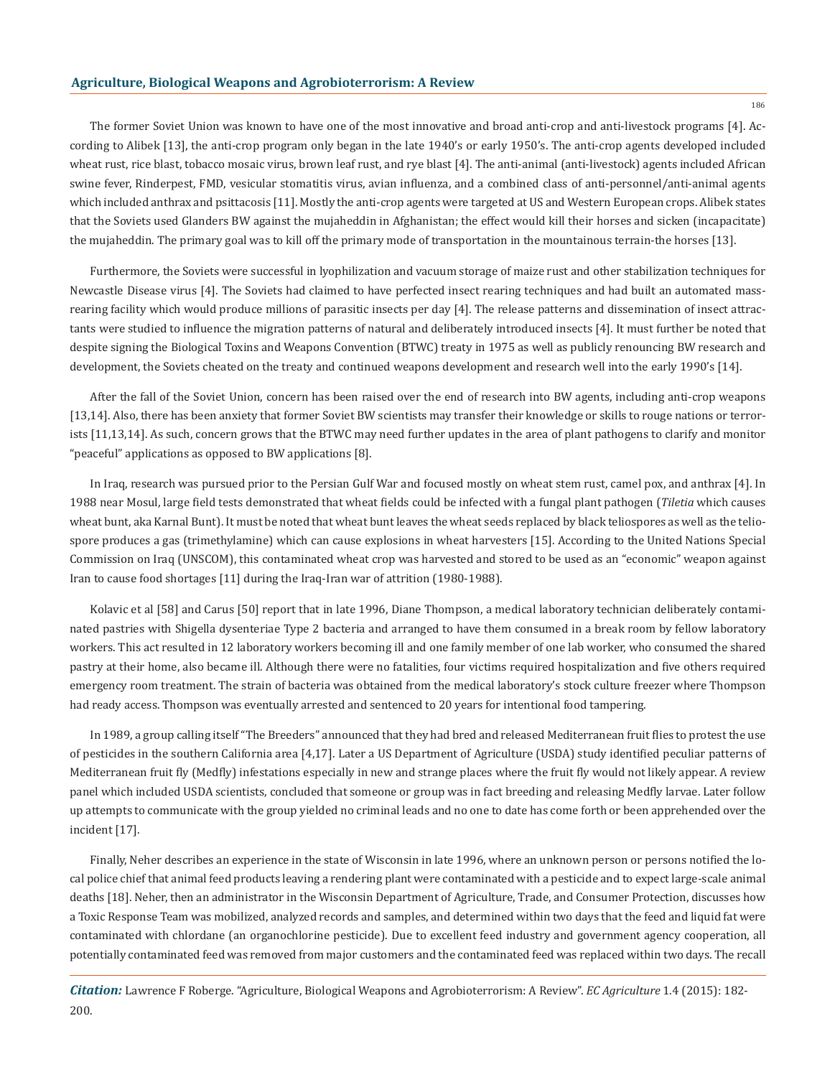The former Soviet Union was known to have one of the most innovative and broad anti-crop and anti-livestock programs [4]. According to Alibek [13], the anti-crop program only began in the late 1940's or early 1950's. The anti-crop agents developed included wheat rust, rice blast, tobacco mosaic virus, brown leaf rust, and rye blast [4]. The anti-animal (anti-livestock) agents included African swine fever, Rinderpest, FMD, vesicular stomatitis virus, avian influenza, and a combined class of anti-personnel/anti-animal agents which included anthrax and psittacosis [11]. Mostly the anti-crop agents were targeted at US and Western European crops. Alibek states that the Soviets used Glanders BW against the mujaheddin in Afghanistan; the effect would kill their horses and sicken (incapacitate) the mujaheddin. The primary goal was to kill off the primary mode of transportation in the mountainous terrain-the horses [13].

Furthermore, the Soviets were successful in lyophilization and vacuum storage of maize rust and other stabilization techniques for Newcastle Disease virus [4]. The Soviets had claimed to have perfected insect rearing techniques and had built an automated massrearing facility which would produce millions of parasitic insects per day [4]. The release patterns and dissemination of insect attractants were studied to influence the migration patterns of natural and deliberately introduced insects [4]. It must further be noted that despite signing the Biological Toxins and Weapons Convention (BTWC) treaty in 1975 as well as publicly renouncing BW research and development, the Soviets cheated on the treaty and continued weapons development and research well into the early 1990's [14].

After the fall of the Soviet Union, concern has been raised over the end of research into BW agents, including anti-crop weapons [13,14]. Also, there has been anxiety that former Soviet BW scientists may transfer their knowledge or skills to rouge nations or terrorists [11,13,14]. As such, concern grows that the BTWC may need further updates in the area of plant pathogens to clarify and monitor "peaceful" applications as opposed to BW applications [8].

In Iraq, research was pursued prior to the Persian Gulf War and focused mostly on wheat stem rust, camel pox, and anthrax [4]. In 1988 near Mosul, large field tests demonstrated that wheat fields could be infected with a fungal plant pathogen (*Tiletia* which causes wheat bunt, aka Karnal Bunt). It must be noted that wheat bunt leaves the wheat seeds replaced by black teliospores as well as the teliospore produces a gas (trimethylamine) which can cause explosions in wheat harvesters [15]. According to the United Nations Special Commission on Iraq (UNSCOM), this contaminated wheat crop was harvested and stored to be used as an "economic" weapon against Iran to cause food shortages [11] during the Iraq-Iran war of attrition (1980-1988).

Kolavic et al [58] and Carus [50] report that in late 1996, Diane Thompson, a medical laboratory technician deliberately contaminated pastries with Shigella dysenteriae Type 2 bacteria and arranged to have them consumed in a break room by fellow laboratory workers. This act resulted in 12 laboratory workers becoming ill and one family member of one lab worker, who consumed the shared pastry at their home, also became ill. Although there were no fatalities, four victims required hospitalization and five others required emergency room treatment. The strain of bacteria was obtained from the medical laboratory's stock culture freezer where Thompson had ready access. Thompson was eventually arrested and sentenced to 20 years for intentional food tampering.

In 1989, a group calling itself "The Breeders" announced that they had bred and released Mediterranean fruit flies to protest the use of pesticides in the southern California area [4,17]. Later a US Department of Agriculture (USDA) study identified peculiar patterns of Mediterranean fruit fly (Medfly) infestations especially in new and strange places where the fruit fly would not likely appear. A review panel which included USDA scientists, concluded that someone or group was in fact breeding and releasing Medfly larvae. Later follow up attempts to communicate with the group yielded no criminal leads and no one to date has come forth or been apprehended over the incident [17].

Finally, Neher describes an experience in the state of Wisconsin in late 1996, where an unknown person or persons notified the local police chief that animal feed products leaving a rendering plant were contaminated with a pesticide and to expect large-scale animal deaths [18]. Neher, then an administrator in the Wisconsin Department of Agriculture, Trade, and Consumer Protection, discusses how a Toxic Response Team was mobilized, analyzed records and samples, and determined within two days that the feed and liquid fat were contaminated with chlordane (an organochlorine pesticide). Due to excellent feed industry and government agency cooperation, all potentially contaminated feed was removed from major customers and the contaminated feed was replaced within two days. The recall

*Citation:* Lawrence F Roberge. "Agriculture, Biological Weapons and Agrobioterrorism: A Review". *EC Agriculture* 1.4 (2015): 182- 200.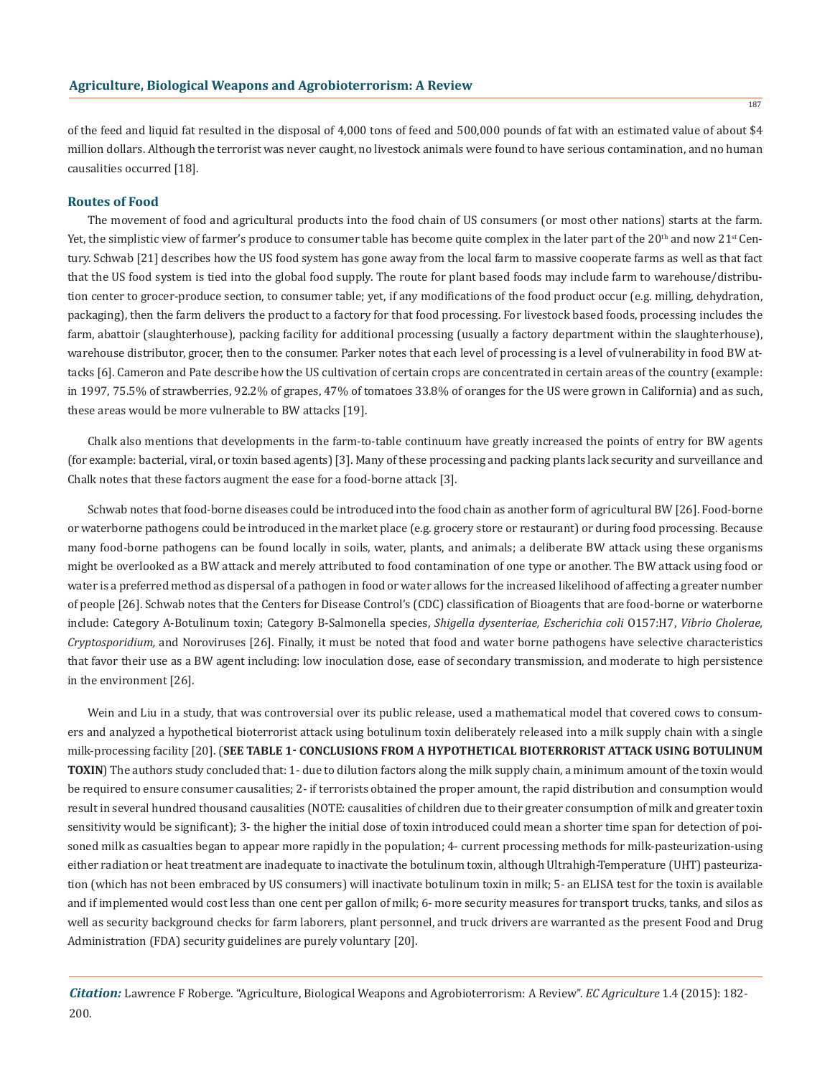of the feed and liquid fat resulted in the disposal of 4,000 tons of feed and 500,000 pounds of fat with an estimated value of about \$4 million dollars. Although the terrorist was never caught, no livestock animals were found to have serious contamination, and no human causalities occurred [18].

### **Routes of Food**

The movement of food and agricultural products into the food chain of US consumers (or most other nations) starts at the farm. Yet, the simplistic view of farmer's produce to consumer table has become quite complex in the later part of the 20<sup>th</sup> and now 21<sup>st</sup> Century. Schwab [21] describes how the US food system has gone away from the local farm to massive cooperate farms as well as that fact that the US food system is tied into the global food supply. The route for plant based foods may include farm to warehouse/distribution center to grocer-produce section, to consumer table; yet, if any modifications of the food product occur (e.g. milling, dehydration, packaging), then the farm delivers the product to a factory for that food processing. For livestock based foods, processing includes the farm, abattoir (slaughterhouse), packing facility for additional processing (usually a factory department within the slaughterhouse), warehouse distributor, grocer, then to the consumer. Parker notes that each level of processing is a level of vulnerability in food BW attacks [6]. Cameron and Pate describe how the US cultivation of certain crops are concentrated in certain areas of the country (example: in 1997, 75.5% of strawberries, 92.2% of grapes, 47% of tomatoes 33.8% of oranges for the US were grown in California) and as such, these areas would be more vulnerable to BW attacks [19].

Chalk also mentions that developments in the farm-to-table continuum have greatly increased the points of entry for BW agents (for example: bacterial, viral, or toxin based agents) [3]. Many of these processing and packing plants lack security and surveillance and Chalk notes that these factors augment the ease for a food-borne attack [3].

Schwab notes that food-borne diseases could be introduced into the food chain as another form of agricultural BW [26]. Food-borne or waterborne pathogens could be introduced in the market place (e.g. grocery store or restaurant) or during food processing. Because many food-borne pathogens can be found locally in soils, water, plants, and animals; a deliberate BW attack using these organisms might be overlooked as a BW attack and merely attributed to food contamination of one type or another. The BW attack using food or water is a preferred method as dispersal of a pathogen in food or water allows for the increased likelihood of affecting a greater number of people [26]. Schwab notes that the Centers for Disease Control's (CDC) classification of Bioagents that are food-borne or waterborne include: Category A-Botulinum toxin; Category B-Salmonella species, *Shigella dysenteriae, Escherichia coli* O157:H7, *Vibrio Cholerae, Cryptosporidium,* and Noroviruses [26]. Finally, it must be noted that food and water borne pathogens have selective characteristics that favor their use as a BW agent including: low inoculation dose, ease of secondary transmission, and moderate to high persistence in the environment [26].

Wein and Liu in a study, that was controversial over its public release, used a mathematical model that covered cows to consumers and analyzed a hypothetical bioterrorist attack using botulinum toxin deliberately released into a milk supply chain with a single milk-processing facility [20]. (**See Table 1- Conclusions from A Hypothetical Bioterrorist Attack Using Botulinum Toxin**) The authors study concluded that: 1- due to dilution factors along the milk supply chain, a minimum amount of the toxin would be required to ensure consumer causalities; 2- if terrorists obtained the proper amount, the rapid distribution and consumption would result in several hundred thousand causalities (NOTE: causalities of children due to their greater consumption of milk and greater toxin sensitivity would be significant); 3- the higher the initial dose of toxin introduced could mean a shorter time span for detection of poisoned milk as casualties began to appear more rapidly in the population; 4- current processing methods for milk-pasteurization-using either radiation or heat treatment are inadequate to inactivate the botulinum toxin, although Ultrahigh-Temperature (UHT) pasteurization (which has not been embraced by US consumers) will inactivate botulinum toxin in milk; 5- an ELISA test for the toxin is available and if implemented would cost less than one cent per gallon of milk; 6- more security measures for transport trucks, tanks, and silos as well as security background checks for farm laborers, plant personnel, and truck drivers are warranted as the present Food and Drug Administration (FDA) security guidelines are purely voluntary [20].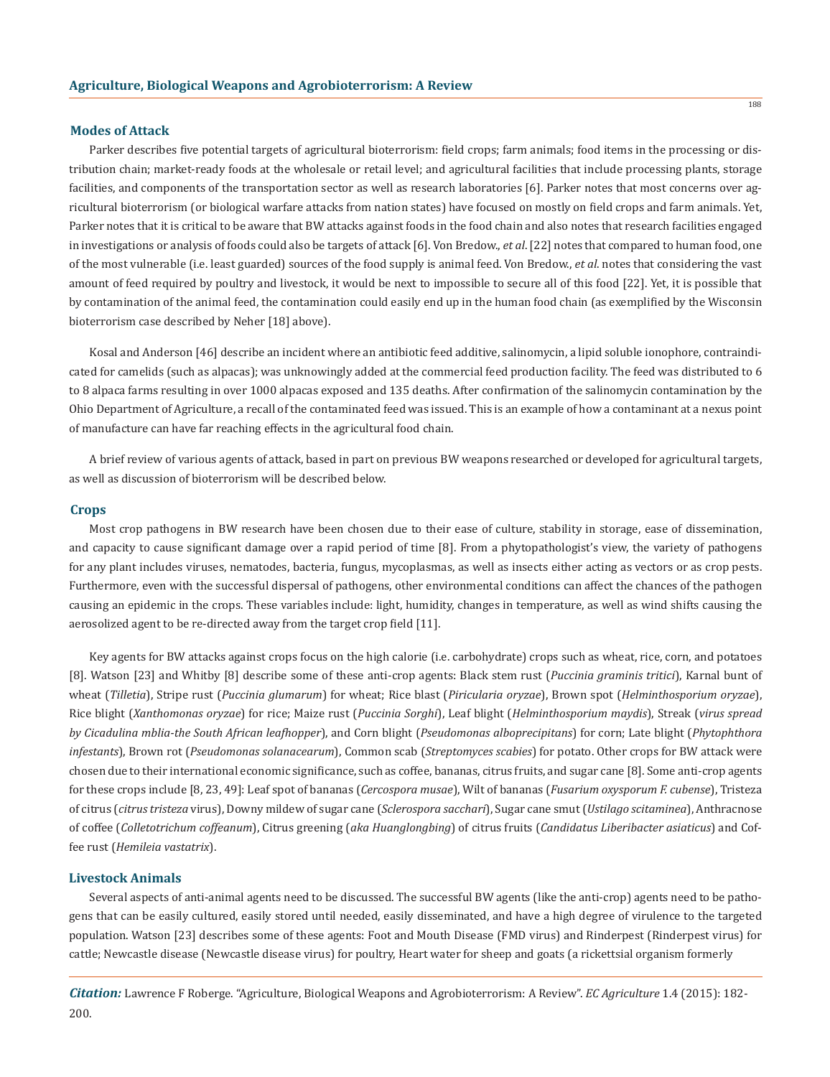# **Modes of Attack**

Parker describes five potential targets of agricultural bioterrorism: field crops; farm animals; food items in the processing or distribution chain; market-ready foods at the wholesale or retail level; and agricultural facilities that include processing plants, storage facilities, and components of the transportation sector as well as research laboratories [6]. Parker notes that most concerns over agricultural bioterrorism (or biological warfare attacks from nation states) have focused on mostly on field crops and farm animals. Yet, Parker notes that it is critical to be aware that BW attacks against foods in the food chain and also notes that research facilities engaged in investigations or analysis of foods could also be targets of attack [6]. Von Bredow., *et al*. [22] notes that compared to human food, one of the most vulnerable (i.e. least guarded) sources of the food supply is animal feed. Von Bredow., *et al*. notes that considering the vast amount of feed required by poultry and livestock, it would be next to impossible to secure all of this food [22]. Yet, it is possible that by contamination of the animal feed, the contamination could easily end up in the human food chain (as exemplified by the Wisconsin bioterrorism case described by Neher [18] above).

Kosal and Anderson [46] describe an incident where an antibiotic feed additive, salinomycin, a lipid soluble ionophore, contraindicated for camelids (such as alpacas); was unknowingly added at the commercial feed production facility. The feed was distributed to 6 to 8 alpaca farms resulting in over 1000 alpacas exposed and 135 deaths. After confirmation of the salinomycin contamination by the Ohio Department of Agriculture, a recall of the contaminated feed was issued. This is an example of how a contaminant at a nexus point of manufacture can have far reaching effects in the agricultural food chain.

A brief review of various agents of attack, based in part on previous BW weapons researched or developed for agricultural targets, as well as discussion of bioterrorism will be described below.

### **Crops**

Most crop pathogens in BW research have been chosen due to their ease of culture, stability in storage, ease of dissemination, and capacity to cause significant damage over a rapid period of time [8]. From a phytopathologist's view, the variety of pathogens for any plant includes viruses, nematodes, bacteria, fungus, mycoplasmas, as well as insects either acting as vectors or as crop pests. Furthermore, even with the successful dispersal of pathogens, other environmental conditions can affect the chances of the pathogen causing an epidemic in the crops. These variables include: light, humidity, changes in temperature, as well as wind shifts causing the aerosolized agent to be re-directed away from the target crop field [11].

Key agents for BW attacks against crops focus on the high calorie (i.e. carbohydrate) crops such as wheat, rice, corn, and potatoes [8]. Watson [23] and Whitby [8] describe some of these anti-crop agents: Black stem rust (*Puccinia graminis tritici*), Karnal bunt of wheat (*Tilletia*), Stripe rust (*Puccinia glumarum*) for wheat; Rice blast (*Piricularia oryzae*), Brown spot (*Helminthosporium oryzae*), Rice blight (*Xanthomonas oryzae*) for rice; Maize rust (*Puccinia Sorghi*), Leaf blight (*Helminthosporium maydis*), Streak (*virus spread by Cicadulina mblia-the South African leafhopper*), and Corn blight (*Pseudomonas alboprecipitans*) for corn; Late blight (*Phytophthora infestants*), Brown rot (*Pseudomonas solanacearum*), Common scab (*Streptomyces scabies*) for potato. Other crops for BW attack were chosen due to their international economic significance, such as coffee, bananas, citrus fruits, and sugar cane [8]. Some anti-crop agents for these crops include [8, 23, 49]: Leaf spot of bananas (*Cercospora musae*), Wilt of bananas (*Fusarium oxysporum F. cubense*), Tristeza of citrus (*citrus tristeza* virus), Downy mildew of sugar cane (*Sclerospora sacchari*), Sugar cane smut (*Ustilago scitaminea*), Anthracnose of coffee (*Colletotrichum coffeanum*), Citrus greening (*aka Huanglongbing*) of citrus fruits (*Candidatus Liberibacter asiaticus*) and Coffee rust (*Hemileia vastatrix*).

# **Livestock Animals**

Several aspects of anti-animal agents need to be discussed. The successful BW agents (like the anti-crop) agents need to be pathogens that can be easily cultured, easily stored until needed, easily disseminated, and have a high degree of virulence to the targeted population. Watson [23] describes some of these agents: Foot and Mouth Disease (FMD virus) and Rinderpest (Rinderpest virus) for cattle; Newcastle disease (Newcastle disease virus) for poultry, Heart water for sheep and goats (a rickettsial organism formerly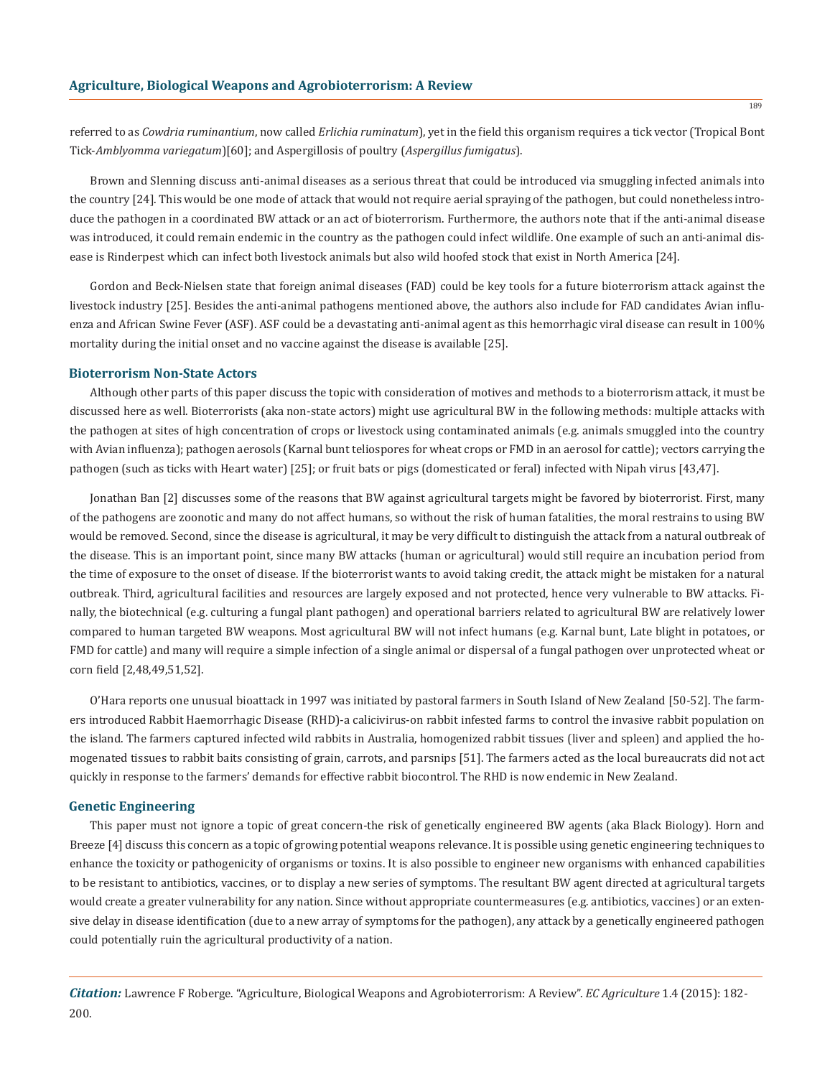referred to as *Cowdria ruminantium*, now called *Erlichia ruminatum*), yet in the field this organism requires a tick vector (Tropical Bont Tick-*Amblyomma variegatum*)[60]; and Aspergillosis of poultry (*Aspergillus fumigatus*).

Brown and Slenning discuss anti-animal diseases as a serious threat that could be introduced via smuggling infected animals into the country [24]. This would be one mode of attack that would not require aerial spraying of the pathogen, but could nonetheless introduce the pathogen in a coordinated BW attack or an act of bioterrorism. Furthermore, the authors note that if the anti-animal disease was introduced, it could remain endemic in the country as the pathogen could infect wildlife. One example of such an anti-animal disease is Rinderpest which can infect both livestock animals but also wild hoofed stock that exist in North America [24].

Gordon and Beck-Nielsen state that foreign animal diseases (FAD) could be key tools for a future bioterrorism attack against the livestock industry [25]. Besides the anti-animal pathogens mentioned above, the authors also include for FAD candidates Avian influenza and African Swine Fever (ASF). ASF could be a devastating anti-animal agent as this hemorrhagic viral disease can result in 100% mortality during the initial onset and no vaccine against the disease is available [25].

#### **Bioterrorism Non-State Actors**

Although other parts of this paper discuss the topic with consideration of motives and methods to a bioterrorism attack, it must be discussed here as well. Bioterrorists (aka non-state actors) might use agricultural BW in the following methods: multiple attacks with the pathogen at sites of high concentration of crops or livestock using contaminated animals (e.g. animals smuggled into the country with Avian influenza); pathogen aerosols (Karnal bunt teliospores for wheat crops or FMD in an aerosol for cattle); vectors carrying the pathogen (such as ticks with Heart water) [25]; or fruit bats or pigs (domesticated or feral) infected with Nipah virus [43,47].

Jonathan Ban [2] discusses some of the reasons that BW against agricultural targets might be favored by bioterrorist. First, many of the pathogens are zoonotic and many do not affect humans, so without the risk of human fatalities, the moral restrains to using BW would be removed. Second, since the disease is agricultural, it may be very difficult to distinguish the attack from a natural outbreak of the disease. This is an important point, since many BW attacks (human or agricultural) would still require an incubation period from the time of exposure to the onset of disease. If the bioterrorist wants to avoid taking credit, the attack might be mistaken for a natural outbreak. Third, agricultural facilities and resources are largely exposed and not protected, hence very vulnerable to BW attacks. Finally, the biotechnical (e.g. culturing a fungal plant pathogen) and operational barriers related to agricultural BW are relatively lower compared to human targeted BW weapons. Most agricultural BW will not infect humans (e.g. Karnal bunt, Late blight in potatoes, or FMD for cattle) and many will require a simple infection of a single animal or dispersal of a fungal pathogen over unprotected wheat or corn field [2,48,49,51,52].

O'Hara reports one unusual bioattack in 1997 was initiated by pastoral farmers in South Island of New Zealand [50-52]. The farmers introduced Rabbit Haemorrhagic Disease (RHD)-a calicivirus-on rabbit infested farms to control the invasive rabbit population on the island. The farmers captured infected wild rabbits in Australia, homogenized rabbit tissues (liver and spleen) and applied the homogenated tissues to rabbit baits consisting of grain, carrots, and parsnips [51]. The farmers acted as the local bureaucrats did not act quickly in response to the farmers' demands for effective rabbit biocontrol. The RHD is now endemic in New Zealand.

#### **Genetic Engineering**

This paper must not ignore a topic of great concern-the risk of genetically engineered BW agents (aka Black Biology). Horn and Breeze [4] discuss this concern as a topic of growing potential weapons relevance. It is possible using genetic engineering techniques to enhance the toxicity or pathogenicity of organisms or toxins. It is also possible to engineer new organisms with enhanced capabilities to be resistant to antibiotics, vaccines, or to display a new series of symptoms. The resultant BW agent directed at agricultural targets would create a greater vulnerability for any nation. Since without appropriate countermeasures (e.g. antibiotics, vaccines) or an extensive delay in disease identification (due to a new array of symptoms for the pathogen), any attack by a genetically engineered pathogen could potentially ruin the agricultural productivity of a nation.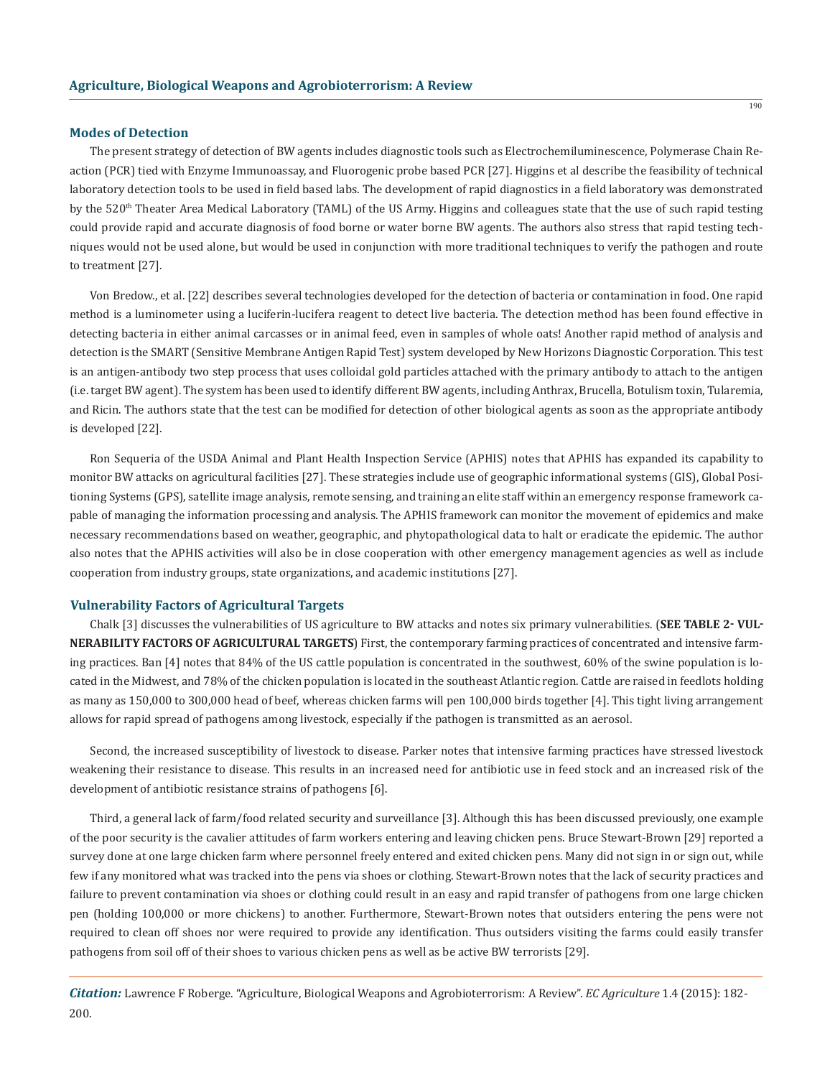### **Modes of Detection**

The present strategy of detection of BW agents includes diagnostic tools such as Electrochemiluminescence, Polymerase Chain Reaction (PCR) tied with Enzyme Immunoassay, and Fluorogenic probe based PCR [27]. Higgins et al describe the feasibility of technical laboratory detection tools to be used in field based labs. The development of rapid diagnostics in a field laboratory was demonstrated by the 520<sup>th</sup> Theater Area Medical Laboratory (TAML) of the US Army. Higgins and colleagues state that the use of such rapid testing could provide rapid and accurate diagnosis of food borne or water borne BW agents. The authors also stress that rapid testing techniques would not be used alone, but would be used in conjunction with more traditional techniques to verify the pathogen and route to treatment [27].

Von Bredow., et al. [22] describes several technologies developed for the detection of bacteria or contamination in food. One rapid method is a luminometer using a luciferin-lucifera reagent to detect live bacteria. The detection method has been found effective in detecting bacteria in either animal carcasses or in animal feed, even in samples of whole oats! Another rapid method of analysis and detection is the SMART (Sensitive Membrane Antigen Rapid Test) system developed by New Horizons Diagnostic Corporation. This test is an antigen-antibody two step process that uses colloidal gold particles attached with the primary antibody to attach to the antigen (i.e. target BW agent). The system has been used to identify different BW agents, including Anthrax, Brucella, Botulism toxin, Tularemia, and Ricin. The authors state that the test can be modified for detection of other biological agents as soon as the appropriate antibody is developed [22].

Ron Sequeria of the USDA Animal and Plant Health Inspection Service (APHIS) notes that APHIS has expanded its capability to monitor BW attacks on agricultural facilities [27]. These strategies include use of geographic informational systems (GIS), Global Positioning Systems (GPS), satellite image analysis, remote sensing, and training an elite staff within an emergency response framework capable of managing the information processing and analysis. The APHIS framework can monitor the movement of epidemics and make necessary recommendations based on weather, geographic, and phytopathological data to halt or eradicate the epidemic. The author also notes that the APHIS activities will also be in close cooperation with other emergency management agencies as well as include cooperation from industry groups, state organizations, and academic institutions [27].

### **Vulnerability Factors of Agricultural Targets**

Chalk [3] discusses the vulnerabilities of US agriculture to BW attacks and notes six primary vulnerabilities. (**See table 2- vulnerability factors of agricultural targets**) First, the contemporary farming practices of concentrated and intensive farming practices. Ban [4] notes that 84% of the US cattle population is concentrated in the southwest, 60% of the swine population is located in the Midwest, and 78% of the chicken population is located in the southeast Atlantic region. Cattle are raised in feedlots holding as many as 150,000 to 300,000 head of beef, whereas chicken farms will pen 100,000 birds together [4]. This tight living arrangement allows for rapid spread of pathogens among livestock, especially if the pathogen is transmitted as an aerosol.

Second, the increased susceptibility of livestock to disease. Parker notes that intensive farming practices have stressed livestock weakening their resistance to disease. This results in an increased need for antibiotic use in feed stock and an increased risk of the development of antibiotic resistance strains of pathogens [6].

Third, a general lack of farm/food related security and surveillance [3]. Although this has been discussed previously, one example of the poor security is the cavalier attitudes of farm workers entering and leaving chicken pens. Bruce Stewart-Brown [29] reported a survey done at one large chicken farm where personnel freely entered and exited chicken pens. Many did not sign in or sign out, while few if any monitored what was tracked into the pens via shoes or clothing. Stewart-Brown notes that the lack of security practices and failure to prevent contamination via shoes or clothing could result in an easy and rapid transfer of pathogens from one large chicken pen (holding 100,000 or more chickens) to another. Furthermore, Stewart-Brown notes that outsiders entering the pens were not required to clean off shoes nor were required to provide any identification. Thus outsiders visiting the farms could easily transfer pathogens from soil off of their shoes to various chicken pens as well as be active BW terrorists [29].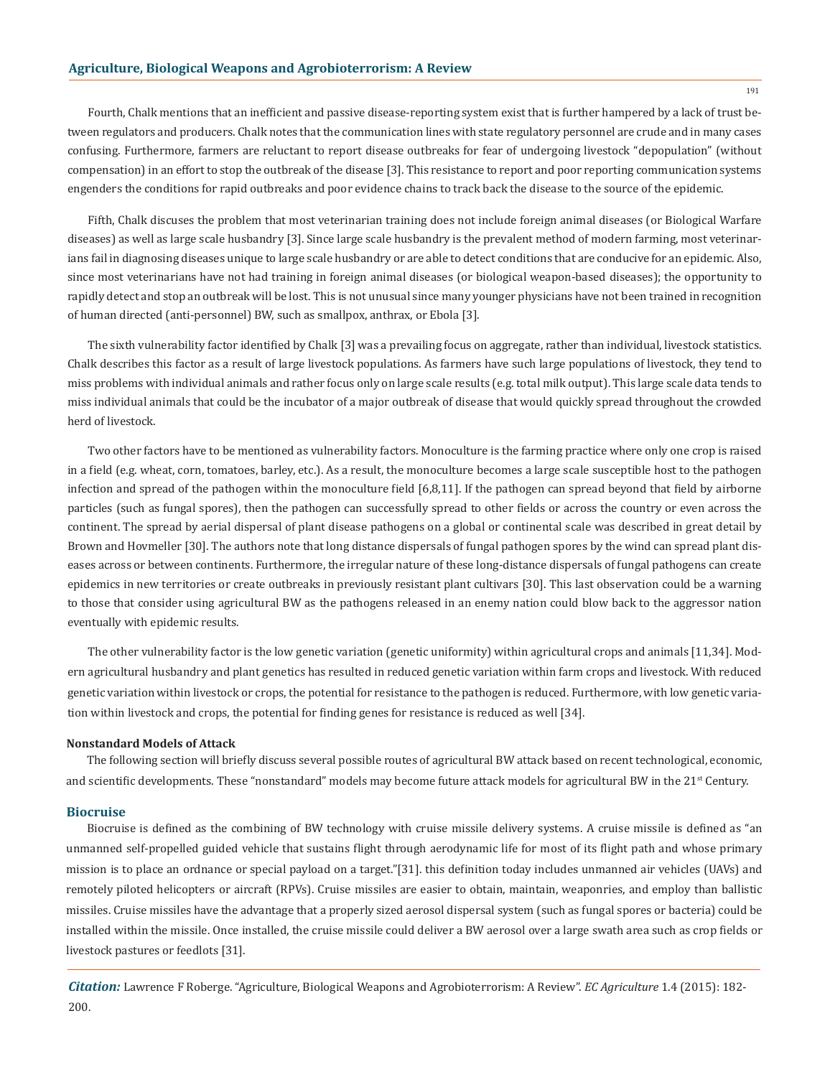Fourth, Chalk mentions that an inefficient and passive disease-reporting system exist that is further hampered by a lack of trust between regulators and producers. Chalk notes that the communication lines with state regulatory personnel are crude and in many cases confusing. Furthermore, farmers are reluctant to report disease outbreaks for fear of undergoing livestock "depopulation" (without compensation) in an effort to stop the outbreak of the disease [3]. This resistance to report and poor reporting communication systems engenders the conditions for rapid outbreaks and poor evidence chains to track back the disease to the source of the epidemic.

Fifth, Chalk discuses the problem that most veterinarian training does not include foreign animal diseases (or Biological Warfare diseases) as well as large scale husbandry [3]. Since large scale husbandry is the prevalent method of modern farming, most veterinarians fail in diagnosing diseases unique to large scale husbandry or are able to detect conditions that are conducive for an epidemic. Also, since most veterinarians have not had training in foreign animal diseases (or biological weapon-based diseases); the opportunity to rapidly detect and stop an outbreak will be lost. This is not unusual since many younger physicians have not been trained in recognition of human directed (anti-personnel) BW, such as smallpox, anthrax, or Ebola [3].

The sixth vulnerability factor identified by Chalk [3] was a prevailing focus on aggregate, rather than individual, livestock statistics. Chalk describes this factor as a result of large livestock populations. As farmers have such large populations of livestock, they tend to miss problems with individual animals and rather focus only on large scale results (e.g. total milk output). This large scale data tends to miss individual animals that could be the incubator of a major outbreak of disease that would quickly spread throughout the crowded herd of livestock.

Two other factors have to be mentioned as vulnerability factors. Monoculture is the farming practice where only one crop is raised in a field (e.g. wheat, corn, tomatoes, barley, etc.). As a result, the monoculture becomes a large scale susceptible host to the pathogen infection and spread of the pathogen within the monoculture field [6,8,11]. If the pathogen can spread beyond that field by airborne particles (such as fungal spores), then the pathogen can successfully spread to other fields or across the country or even across the continent. The spread by aerial dispersal of plant disease pathogens on a global or continental scale was described in great detail by Brown and Hovmeller [30]. The authors note that long distance dispersals of fungal pathogen spores by the wind can spread plant diseases across or between continents. Furthermore, the irregular nature of these long-distance dispersals of fungal pathogens can create epidemics in new territories or create outbreaks in previously resistant plant cultivars [30]. This last observation could be a warning to those that consider using agricultural BW as the pathogens released in an enemy nation could blow back to the aggressor nation eventually with epidemic results.

The other vulnerability factor is the low genetic variation (genetic uniformity) within agricultural crops and animals [11,34]. Modern agricultural husbandry and plant genetics has resulted in reduced genetic variation within farm crops and livestock. With reduced genetic variation within livestock or crops, the potential for resistance to the pathogen is reduced. Furthermore, with low genetic variation within livestock and crops, the potential for finding genes for resistance is reduced as well [34].

#### **Nonstandard Models of Attack**

The following section will briefly discuss several possible routes of agricultural BW attack based on recent technological, economic, and scientific developments. These "nonstandard" models may become future attack models for agricultural BW in the 21<sup>st</sup> Century.

# **Biocruise**

Biocruise is defined as the combining of BW technology with cruise missile delivery systems. A cruise missile is defined as "an unmanned self-propelled guided vehicle that sustains flight through aerodynamic life for most of its flight path and whose primary mission is to place an ordnance or special payload on a target."[31]. this definition today includes unmanned air vehicles (UAVs) and remotely piloted helicopters or aircraft (RPVs). Cruise missiles are easier to obtain, maintain, weaponries, and employ than ballistic missiles. Cruise missiles have the advantage that a properly sized aerosol dispersal system (such as fungal spores or bacteria) could be installed within the missile. Once installed, the cruise missile could deliver a BW aerosol over a large swath area such as crop fields or livestock pastures or feedlots [31].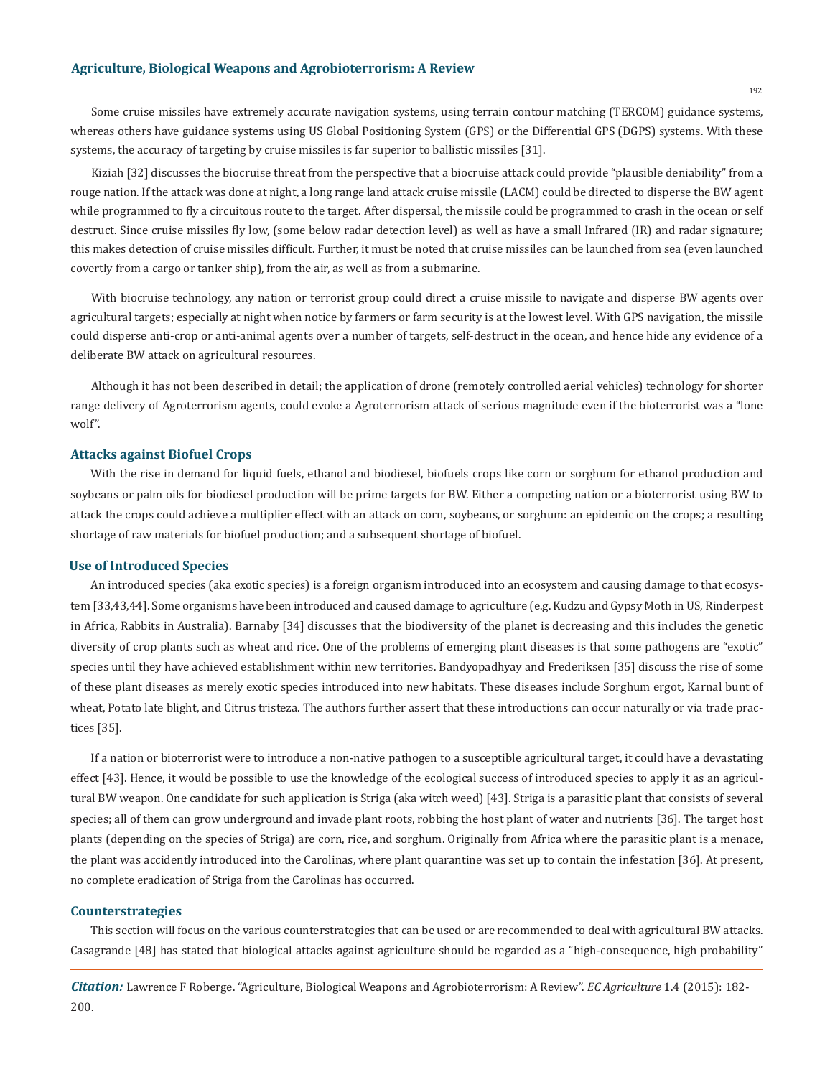Some cruise missiles have extremely accurate navigation systems, using terrain contour matching (TERCOM) guidance systems, whereas others have guidance systems using US Global Positioning System (GPS) or the Differential GPS (DGPS) systems. With these systems, the accuracy of targeting by cruise missiles is far superior to ballistic missiles [31].

Kiziah [32] discusses the biocruise threat from the perspective that a biocruise attack could provide "plausible deniability" from a rouge nation. If the attack was done at night, a long range land attack cruise missile (LACM) could be directed to disperse the BW agent while programmed to fly a circuitous route to the target. After dispersal, the missile could be programmed to crash in the ocean or self destruct. Since cruise missiles fly low, (some below radar detection level) as well as have a small Infrared (IR) and radar signature; this makes detection of cruise missiles difficult. Further, it must be noted that cruise missiles can be launched from sea (even launched covertly from a cargo or tanker ship), from the air, as well as from a submarine.

With biocruise technology, any nation or terrorist group could direct a cruise missile to navigate and disperse BW agents over agricultural targets; especially at night when notice by farmers or farm security is at the lowest level. With GPS navigation, the missile could disperse anti-crop or anti-animal agents over a number of targets, self-destruct in the ocean, and hence hide any evidence of a deliberate BW attack on agricultural resources.

Although it has not been described in detail; the application of drone (remotely controlled aerial vehicles) technology for shorter range delivery of Agroterrorism agents, could evoke a Agroterrorism attack of serious magnitude even if the bioterrorist was a "lone wolf".

#### **Attacks against Biofuel Crops**

With the rise in demand for liquid fuels, ethanol and biodiesel, biofuels crops like corn or sorghum for ethanol production and soybeans or palm oils for biodiesel production will be prime targets for BW. Either a competing nation or a bioterrorist using BW to attack the crops could achieve a multiplier effect with an attack on corn, soybeans, or sorghum: an epidemic on the crops; a resulting shortage of raw materials for biofuel production; and a subsequent shortage of biofuel.

#### **Use of Introduced Species**

An introduced species (aka exotic species) is a foreign organism introduced into an ecosystem and causing damage to that ecosystem [33,43,44]. Some organisms have been introduced and caused damage to agriculture (e.g. Kudzu and Gypsy Moth in US, Rinderpest in Africa, Rabbits in Australia). Barnaby [34] discusses that the biodiversity of the planet is decreasing and this includes the genetic diversity of crop plants such as wheat and rice. One of the problems of emerging plant diseases is that some pathogens are "exotic" species until they have achieved establishment within new territories. Bandyopadhyay and Frederiksen [35] discuss the rise of some of these plant diseases as merely exotic species introduced into new habitats. These diseases include Sorghum ergot, Karnal bunt of wheat, Potato late blight, and Citrus tristeza. The authors further assert that these introductions can occur naturally or via trade practices [35].

If a nation or bioterrorist were to introduce a non-native pathogen to a susceptible agricultural target, it could have a devastating effect [43]. Hence, it would be possible to use the knowledge of the ecological success of introduced species to apply it as an agricultural BW weapon. One candidate for such application is Striga (aka witch weed) [43]. Striga is a parasitic plant that consists of several species; all of them can grow underground and invade plant roots, robbing the host plant of water and nutrients [36]. The target host plants (depending on the species of Striga) are corn, rice, and sorghum. Originally from Africa where the parasitic plant is a menace, the plant was accidently introduced into the Carolinas, where plant quarantine was set up to contain the infestation [36]. At present, no complete eradication of Striga from the Carolinas has occurred.

#### **Counterstrategies**

This section will focus on the various counterstrategies that can be used or are recommended to deal with agricultural BW attacks. Casagrande [48] has stated that biological attacks against agriculture should be regarded as a "high-consequence, high probability"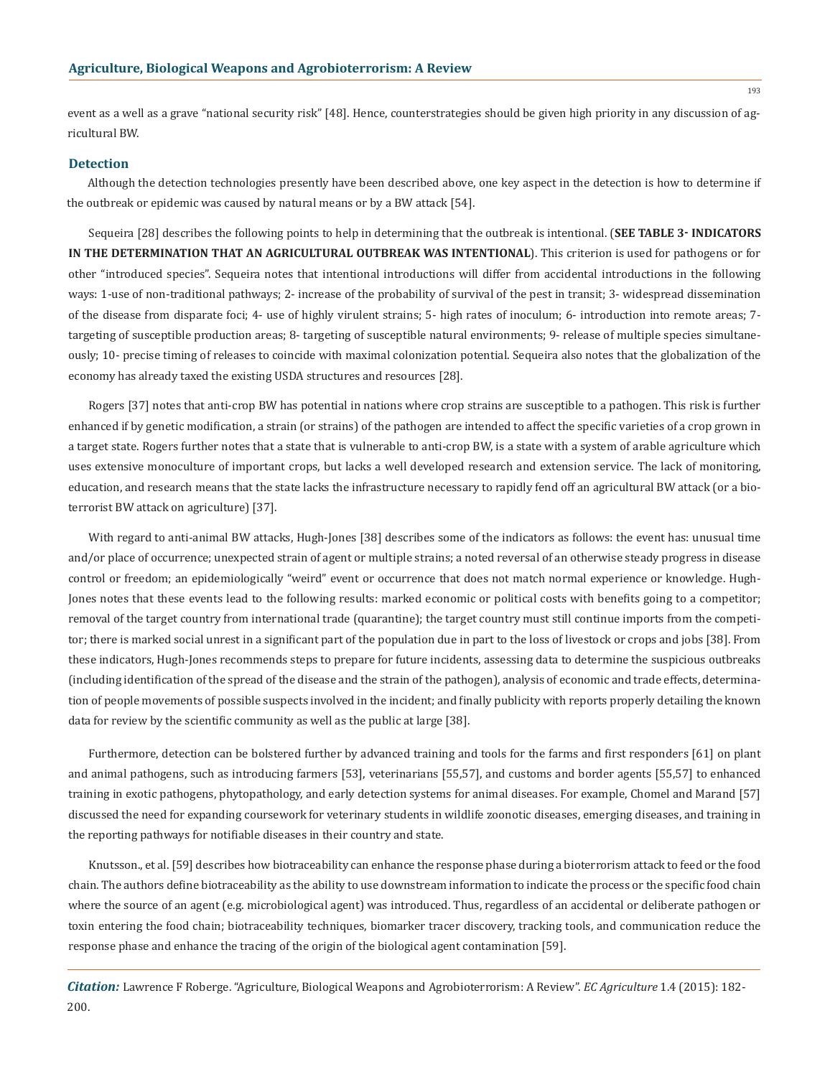event as a well as a grave "national security risk" [48]. Hence, counterstrategies should be given high priority in any discussion of agricultural BW.

#### **Detection**

Although the detection technologies presently have been described above, one key aspect in the detection is how to determine if the outbreak or epidemic was caused by natural means or by a BW attack [54].

Sequeira [28] describes the following points to help in determining that the outbreak is intentional. **(SEE TABLE 3- INDICATORS in the determination that an agricultural outbreak was intentional**). This criterion is used for pathogens or for other "introduced species". Sequeira notes that intentional introductions will differ from accidental introductions in the following ways: 1-use of non-traditional pathways; 2- increase of the probability of survival of the pest in transit; 3- widespread dissemination of the disease from disparate foci; 4- use of highly virulent strains; 5- high rates of inoculum; 6- introduction into remote areas; 7 targeting of susceptible production areas; 8- targeting of susceptible natural environments; 9- release of multiple species simultaneously; 10- precise timing of releases to coincide with maximal colonization potential. Sequeira also notes that the globalization of the economy has already taxed the existing USDA structures and resources [28].

Rogers [37] notes that anti-crop BW has potential in nations where crop strains are susceptible to a pathogen. This risk is further enhanced if by genetic modification, a strain (or strains) of the pathogen are intended to affect the specific varieties of a crop grown in a target state. Rogers further notes that a state that is vulnerable to anti-crop BW, is a state with a system of arable agriculture which uses extensive monoculture of important crops, but lacks a well developed research and extension service. The lack of monitoring, education, and research means that the state lacks the infrastructure necessary to rapidly fend off an agricultural BW attack (or a bioterrorist BW attack on agriculture) [37].

With regard to anti-animal BW attacks, Hugh-Jones [38] describes some of the indicators as follows: the event has: unusual time and/or place of occurrence; unexpected strain of agent or multiple strains; a noted reversal of an otherwise steady progress in disease control or freedom; an epidemiologically "weird" event or occurrence that does not match normal experience or knowledge. Hugh-Jones notes that these events lead to the following results: marked economic or political costs with benefits going to a competitor; removal of the target country from international trade (quarantine); the target country must still continue imports from the competitor; there is marked social unrest in a significant part of the population due in part to the loss of livestock or crops and jobs [38]. From these indicators, Hugh-Jones recommends steps to prepare for future incidents, assessing data to determine the suspicious outbreaks (including identification of the spread of the disease and the strain of the pathogen), analysis of economic and trade effects, determination of people movements of possible suspects involved in the incident; and finally publicity with reports properly detailing the known data for review by the scientific community as well as the public at large [38].

Furthermore, detection can be bolstered further by advanced training and tools for the farms and first responders [61] on plant and animal pathogens, such as introducing farmers [53], veterinarians [55,57], and customs and border agents [55,57] to enhanced training in exotic pathogens, phytopathology, and early detection systems for animal diseases. For example, Chomel and Marand [57] discussed the need for expanding coursework for veterinary students in wildlife zoonotic diseases, emerging diseases, and training in the reporting pathways for notifiable diseases in their country and state.

Knutsson., et al. [59] describes how biotraceability can enhance the response phase during a bioterrorism attack to feed or the food chain. The authors define biotraceability as the ability to use downstream information to indicate the process or the specific food chain where the source of an agent (e.g. microbiological agent) was introduced. Thus, regardless of an accidental or deliberate pathogen or toxin entering the food chain; biotraceability techniques, biomarker tracer discovery, tracking tools, and communication reduce the response phase and enhance the tracing of the origin of the biological agent contamination [59].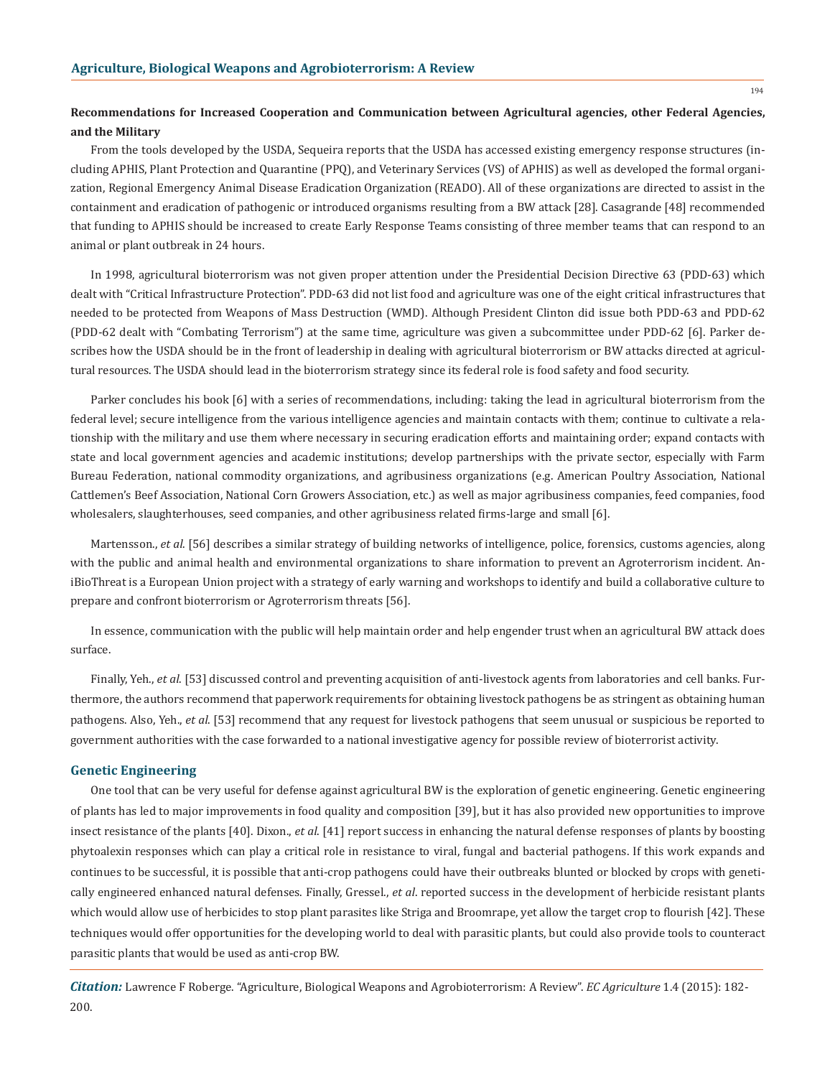# **Recommendations for Increased Cooperation and Communication between Agricultural agencies, other Federal Agencies, and the Military**

From the tools developed by the USDA, Sequeira reports that the USDA has accessed existing emergency response structures (including APHIS, Plant Protection and Quarantine (PPQ), and Veterinary Services (VS) of APHIS) as well as developed the formal organization, Regional Emergency Animal Disease Eradication Organization (READO). All of these organizations are directed to assist in the containment and eradication of pathogenic or introduced organisms resulting from a BW attack [28]. Casagrande [48] recommended that funding to APHIS should be increased to create Early Response Teams consisting of three member teams that can respond to an animal or plant outbreak in 24 hours.

In 1998, agricultural bioterrorism was not given proper attention under the Presidential Decision Directive 63 (PDD-63) which dealt with "Critical Infrastructure Protection". PDD-63 did not list food and agriculture was one of the eight critical infrastructures that needed to be protected from Weapons of Mass Destruction (WMD). Although President Clinton did issue both PDD-63 and PDD-62 (PDD-62 dealt with "Combating Terrorism") at the same time, agriculture was given a subcommittee under PDD-62 [6]. Parker describes how the USDA should be in the front of leadership in dealing with agricultural bioterrorism or BW attacks directed at agricultural resources. The USDA should lead in the bioterrorism strategy since its federal role is food safety and food security.

Parker concludes his book [6] with a series of recommendations, including: taking the lead in agricultural bioterrorism from the federal level; secure intelligence from the various intelligence agencies and maintain contacts with them; continue to cultivate a relationship with the military and use them where necessary in securing eradication efforts and maintaining order; expand contacts with state and local government agencies and academic institutions; develop partnerships with the private sector, especially with Farm Bureau Federation, national commodity organizations, and agribusiness organizations (e.g. American Poultry Association, National Cattlemen's Beef Association, National Corn Growers Association, etc.) as well as major agribusiness companies, feed companies, food wholesalers, slaughterhouses, seed companies, and other agribusiness related firms-large and small [6].

Martensson., *et al*. [56] describes a similar strategy of building networks of intelligence, police, forensics, customs agencies, along with the public and animal health and environmental organizations to share information to prevent an Agroterrorism incident. AniBioThreat is a European Union project with a strategy of early warning and workshops to identify and build a collaborative culture to prepare and confront bioterrorism or Agroterrorism threats [56].

In essence, communication with the public will help maintain order and help engender trust when an agricultural BW attack does surface.

Finally, Yeh., *et al*. [53] discussed control and preventing acquisition of anti-livestock agents from laboratories and cell banks. Furthermore, the authors recommend that paperwork requirements for obtaining livestock pathogens be as stringent as obtaining human pathogens. Also, Yeh., *et al*. [53] recommend that any request for livestock pathogens that seem unusual or suspicious be reported to government authorities with the case forwarded to a national investigative agency for possible review of bioterrorist activity.

### **Genetic Engineering**

One tool that can be very useful for defense against agricultural BW is the exploration of genetic engineering. Genetic engineering of plants has led to major improvements in food quality and composition [39], but it has also provided new opportunities to improve insect resistance of the plants [40]. Dixon., *et al*. [41] report success in enhancing the natural defense responses of plants by boosting phytoalexin responses which can play a critical role in resistance to viral, fungal and bacterial pathogens. If this work expands and continues to be successful, it is possible that anti-crop pathogens could have their outbreaks blunted or blocked by crops with genetically engineered enhanced natural defenses. Finally, Gressel., *et al*. reported success in the development of herbicide resistant plants which would allow use of herbicides to stop plant parasites like Striga and Broomrape, yet allow the target crop to flourish [42]. These techniques would offer opportunities for the developing world to deal with parasitic plants, but could also provide tools to counteract parasitic plants that would be used as anti-crop BW.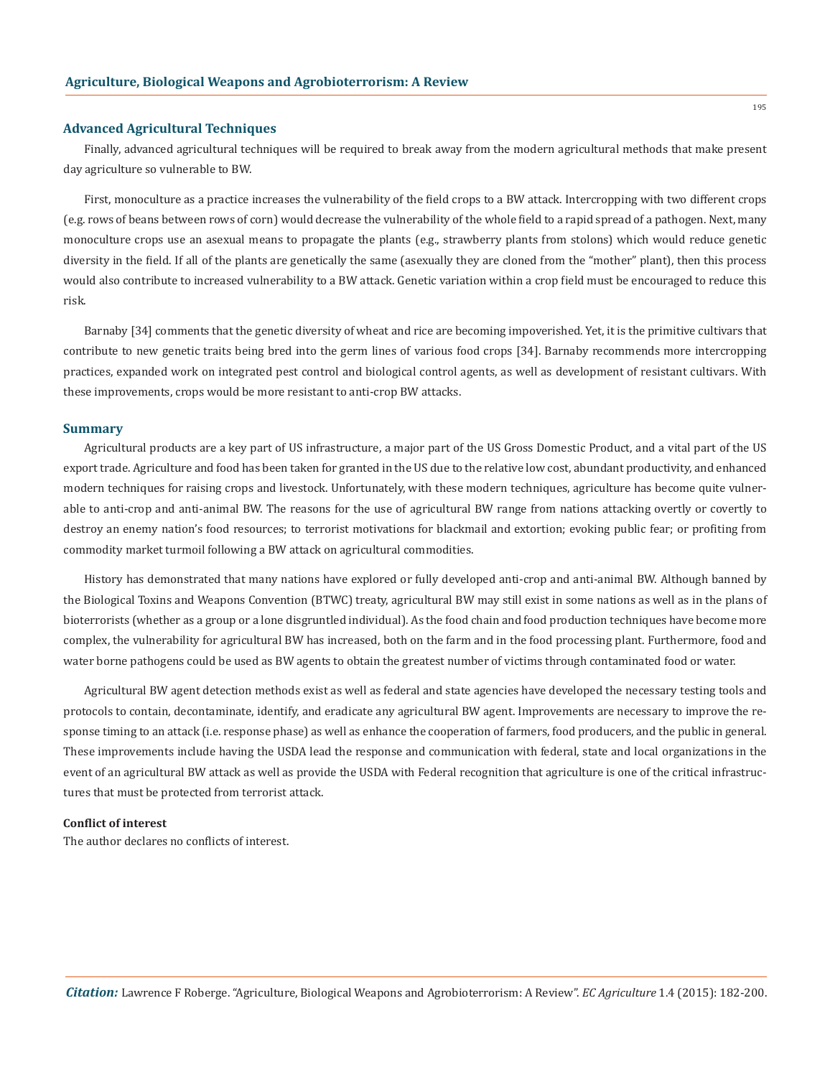#### **Advanced Agricultural Techniques**

Finally, advanced agricultural techniques will be required to break away from the modern agricultural methods that make present day agriculture so vulnerable to BW.

First, monoculture as a practice increases the vulnerability of the field crops to a BW attack. Intercropping with two different crops (e.g. rows of beans between rows of corn) would decrease the vulnerability of the whole field to a rapid spread of a pathogen. Next, many monoculture crops use an asexual means to propagate the plants (e.g., strawberry plants from stolons) which would reduce genetic diversity in the field. If all of the plants are genetically the same (asexually they are cloned from the "mother" plant), then this process would also contribute to increased vulnerability to a BW attack. Genetic variation within a crop field must be encouraged to reduce this risk.

Barnaby [34] comments that the genetic diversity of wheat and rice are becoming impoverished. Yet, it is the primitive cultivars that contribute to new genetic traits being bred into the germ lines of various food crops [34]. Barnaby recommends more intercropping practices, expanded work on integrated pest control and biological control agents, as well as development of resistant cultivars. With these improvements, crops would be more resistant to anti-crop BW attacks.

#### **Summary**

Agricultural products are a key part of US infrastructure, a major part of the US Gross Domestic Product, and a vital part of the US export trade. Agriculture and food has been taken for granted in the US due to the relative low cost, abundant productivity, and enhanced modern techniques for raising crops and livestock. Unfortunately, with these modern techniques, agriculture has become quite vulnerable to anti-crop and anti-animal BW. The reasons for the use of agricultural BW range from nations attacking overtly or covertly to destroy an enemy nation's food resources; to terrorist motivations for blackmail and extortion; evoking public fear; or profiting from commodity market turmoil following a BW attack on agricultural commodities.

History has demonstrated that many nations have explored or fully developed anti-crop and anti-animal BW. Although banned by the Biological Toxins and Weapons Convention (BTWC) treaty, agricultural BW may still exist in some nations as well as in the plans of bioterrorists (whether as a group or a lone disgruntled individual). As the food chain and food production techniques have become more complex, the vulnerability for agricultural BW has increased, both on the farm and in the food processing plant. Furthermore, food and water borne pathogens could be used as BW agents to obtain the greatest number of victims through contaminated food or water.

Agricultural BW agent detection methods exist as well as federal and state agencies have developed the necessary testing tools and protocols to contain, decontaminate, identify, and eradicate any agricultural BW agent. Improvements are necessary to improve the response timing to an attack (i.e. response phase) as well as enhance the cooperation of farmers, food producers, and the public in general. These improvements include having the USDA lead the response and communication with federal, state and local organizations in the event of an agricultural BW attack as well as provide the USDA with Federal recognition that agriculture is one of the critical infrastructures that must be protected from terrorist attack.

## **Conflict of interest**

The author declares no conflicts of interest.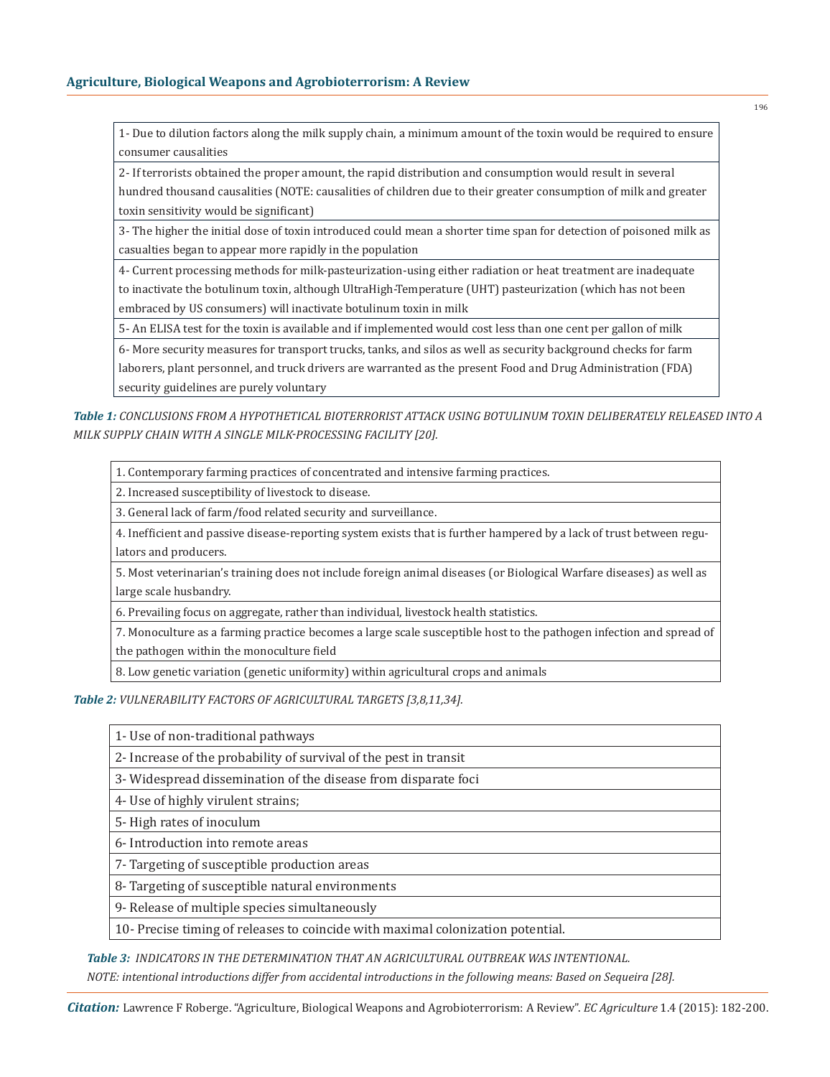1- Due to dilution factors along the milk supply chain, a minimum amount of the toxin would be required to ensure consumer causalities

2- If terrorists obtained the proper amount, the rapid distribution and consumption would result in several hundred thousand causalities (NOTE: causalities of children due to their greater consumption of milk and greater toxin sensitivity would be significant)

3- The higher the initial dose of toxin introduced could mean a shorter time span for detection of poisoned milk as casualties began to appear more rapidly in the population

4- Current processing methods for milk-pasteurization-using either radiation or heat treatment are inadequate to inactivate the botulinum toxin, although UltraHigh-Temperature (UHT) pasteurization (which has not been embraced by US consumers) will inactivate botulinum toxin in milk

5- An ELISA test for the toxin is available and if implemented would cost less than one cent per gallon of milk

6- More security measures for transport trucks, tanks, and silos as well as security background checks for farm laborers, plant personnel, and truck drivers are warranted as the present Food and Drug Administration (FDA) security guidelines are purely voluntary

*Table 1: Conclusions from a hypothetical bioterrorist attack using botulinum toxin deliberately released into a milk supply chain with a single milk-processing facility [20].*

1. Contemporary farming practices of concentrated and intensive farming practices.

2. Increased susceptibility of livestock to disease.

3. General lack of farm/food related security and surveillance.

4. Inefficient and passive disease-reporting system exists that is further hampered by a lack of trust between regulators and producers.

5. Most veterinarian's training does not include foreign animal diseases (or Biological Warfare diseases) as well as large scale husbandry.

6. Prevailing focus on aggregate, rather than individual, livestock health statistics.

7. Monoculture as a farming practice becomes a large scale susceptible host to the pathogen infection and spread of

the pathogen within the monoculture field

8. Low genetic variation (genetic uniformity) within agricultural crops and animals

*Table 2: Vulnerability Factors Of Agricultural Targets [3,8,11,34].*

1- Use of non-traditional pathways

2- Increase of the probability of survival of the pest in transit

3- Widespread dissemination of the disease from disparate foci

4- Use of highly virulent strains;

5- High rates of inoculum

6- Introduction into remote areas

7- Targeting of susceptible production areas

8- Targeting of susceptible natural environments

9- Release of multiple species simultaneously

10- Precise timing of releases to coincide with maximal colonization potential.

# *Table 3: INDICATORS IN THE DETERMINATION THAT AN AGRICULTURAL OUTBREAK WAS INTENTIONAL.*

*NOTE: intentional introductions differ from accidental introductions in the following means: Based on Sequeira [28].*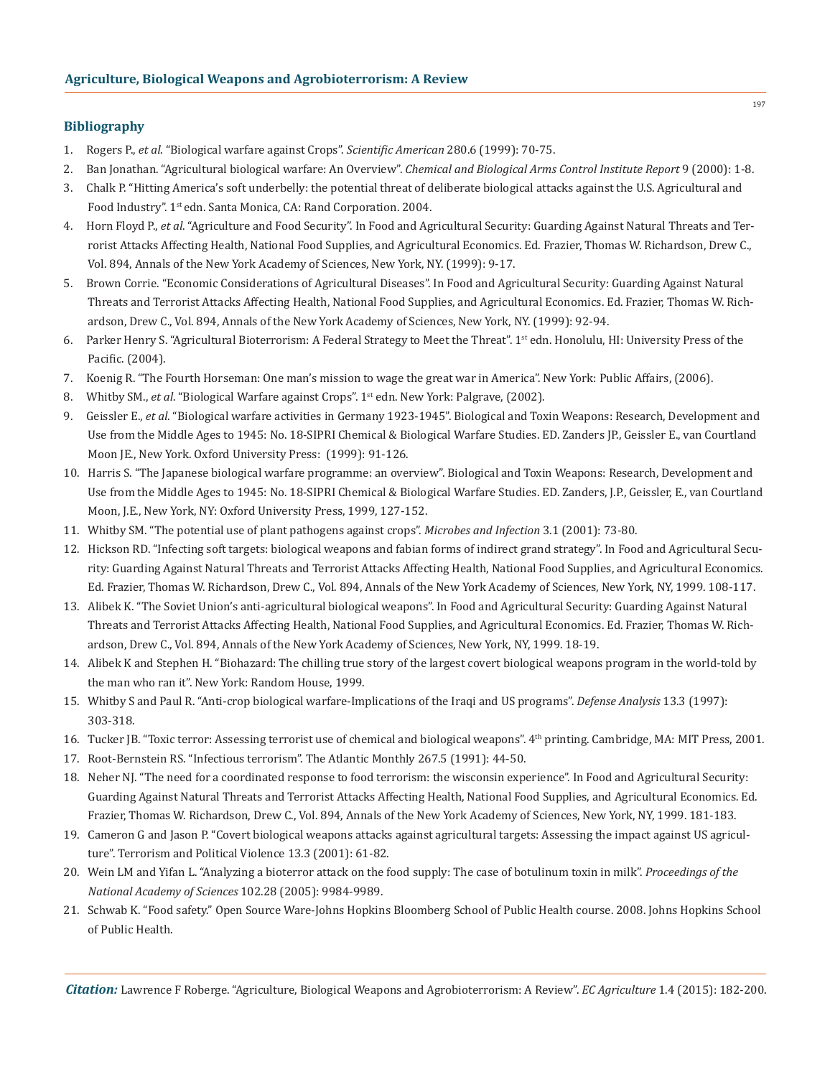# **Bibliography**

- 1. Rogers P., *et al*. "Biological warfare against Crops". *Scientific American* 280.6 (1999): 70-75.
- 2. Ban Jonathan. "Agricultural biological warfare: An Overview". *Chemical and Biological Arms Control Institute Report* 9 (2000): 1-8.
- 3. Chalk P. "Hitting America's soft underbelly: the potential threat of deliberate biological attacks against the U.S. Agricultural and Food Industry". 1st edn. Santa Monica, CA: Rand Corporation. 2004.
- 4. Horn Floyd P., *et al*. "Agriculture and Food Security". In Food and Agricultural Security: Guarding Against Natural Threats and Ter rorist Attacks Affecting Health, National Food Supplies, and Agricultural Economics. Ed. Frazier, Thomas W. Richardson, Drew C., Vol. 894, Annals of the New York Academy of Sciences, New York, NY. (1999): 9-17.
- 5. Brown Corrie. "Economic Considerations of Agricultural Diseases". In Food and Agricultural Security: Guarding Against Natural Threats and Terrorist Attacks Affecting Health, National Food Supplies, and Agricultural Economics. Ed. Frazier, Thomas W. Rich ardson, Drew C., Vol. 894, Annals of the New York Academy of Sciences, New York, NY. (1999): 92-94.
- 6. Parker Henry S. "Agricultural Bioterrorism: A Federal Strategy to Meet the Threat". 1st edn. Honolulu, HI: University Press of the Pacific. (2004).
- 7. Koenig R. "The Fourth Horseman: One man's mission to wage the great war in America". New York: Public Affairs, (2006).
- 8. Whitby SM., *et al*. "Biological Warfare against Crops". 1st edn. New York: Palgrave, (2002).
- 9. Geissler E., *et al*. "Biological warfare activities in Germany 1923-1945". Biological and Toxin Weapons: Research, Development and Use from the Middle Ages to 1945: No. 18-SIPRI Chemical & Biological Warfare Studies. ED. Zanders JP., Geissler E., van Courtland Moon JE., New York. Oxford University Press: (1999): 91-126.
- 10. Harris S. "The Japanese biological warfare programme: an overview". Biological and Toxin Weapons: Research, Development and Use from the Middle Ages to 1945: No. 18-SIPRI Chemical & Biological Warfare Studies. ED. Zanders, J.P., Geissler, E., van Courtland Moon, J.E., New York, NY: Oxford University Press, 1999, 127-152.
- 11. Whitby SM. "The potential use of plant pathogens against crops". *Microbes and Infection* 3.1 (2001): 73-80.
- 12. Hickson RD. "Infecting soft targets: biological weapons and fabian forms of indirect grand strategy". In Food and Agricultural Secu rity: Guarding Against Natural Threats and Terrorist Attacks Affecting Health, National Food Supplies, and Agricultural Economics. Ed. Frazier, Thomas W. Richardson, Drew C., Vol. 894, Annals of the New York Academy of Sciences, New York, NY, 1999. 108-117.
- 13. Alibek K. "The Soviet Union's anti-agricultural biological weapons". In Food and Agricultural Security: Guarding Against Natural Threats and Terrorist Attacks Affecting Health, National Food Supplies, and Agricultural Economics. Ed. Frazier, Thomas W. Rich ardson, Drew C., Vol. 894, Annals of the New York Academy of Sciences, New York, NY, 1999. 18-19.
- 14. Alibek K and Stephen H. "Biohazard: The chilling true story of the largest covert biological weapons program in the world-told by the man who ran it". New York: Random House, 1999.
- 15. Whitby S and Paul R. "Anti-crop biological warfare-Implications of the Iraqi and US programs". *Defense Analysis* 13.3 (1997): 303-318.
- 16. Tucker JB. "Toxic terror: Assessing terrorist use of chemical and biological weapons". 4th printing. Cambridge, MA: MIT Press, 2001.
- 17. Root-Bernstein RS. "Infectious terrorism". The Atlantic Monthly 267.5 (1991): 44-50.
- 18. Neher NJ. "The need for a coordinated response to food terrorism: the wisconsin experience". In Food and Agricultural Security: Guarding Against Natural Threats and Terrorist Attacks Affecting Health, National Food Supplies, and Agricultural Economics. Ed. Frazier, Thomas W. Richardson, Drew C., Vol. 894, Annals of the New York Academy of Sciences, New York, NY, 1999. 181-183.
- 19. Cameron G and Jason P. "Covert biological weapons attacks against agricultural targets: Assessing the impact against US agricul ture". Terrorism and Political Violence 13.3 (2001): 61-82.
- 20. Wein LM and Yifan L. "Analyzing a bioterror attack on the food supply: The case of botulinum toxin in milk". *Proceedings of the National Academy of Sciences* 102.28 (2005): 9984-9989.
- 21. Schwab K. "Food safety." Open Source Ware-Johns Hopkins Bloomberg School of Public Health course. 2008. Johns Hopkins School of Public Health.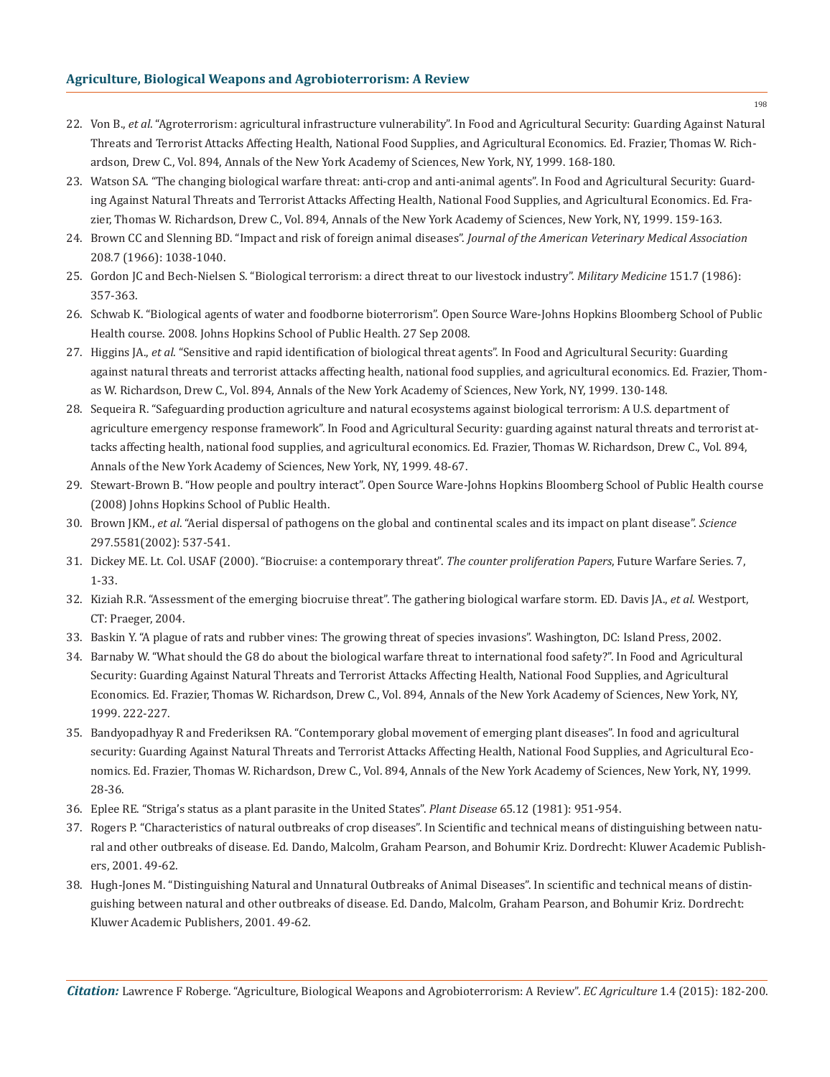- 22. Von B., *et al*. "Agroterrorism: agricultural infrastructure vulnerability". In Food and Agricultural Security: Guarding Against Natural Threats and Terrorist Attacks Affecting Health, National Food Supplies, and Agricultural Economics. Ed. Frazier, Thomas W. Rich ardson, Drew C., Vol. 894, Annals of the New York Academy of Sciences, New York, NY, 1999. 168-180.
- 23. Watson SA. "The changing biological warfare threat: anti-crop and anti-animal agents". In Food and Agricultural Security: Guard ing Against Natural Threats and Terrorist Attacks Affecting Health, National Food Supplies, and Agricultural Economics. Ed. Fra zier, Thomas W. Richardson, Drew C., Vol. 894, Annals of the New York Academy of Sciences, New York, NY, 1999. 159-163.
- 24. Brown CC and Slenning BD. "Impact and risk of foreign animal diseases". *Journal of the American Veterinary Medical Association* 208.7 (1966): 1038-1040.
- 25. Gordon JC and Bech-Nielsen S. "Biological terrorism: a direct threat to our livestock industry". *Military Medicine* 151.7 (1986): 357-363.
- 26. Schwab K. "Biological agents of water and foodborne bioterrorism". Open Source Ware-Johns Hopkins Bloomberg School of Public Health course. 2008. Johns Hopkins School of Public Health. 27 Sep 2008.
- 27. Higgins JA., *et al*. "Sensitive and rapid identification of biological threat agents". In Food and Agricultural Security: Guarding against natural threats and terrorist attacks affecting health, national food supplies, and agricultural economics. Ed. Frazier, Thom as W. Richardson, Drew C., Vol. 894, Annals of the New York Academy of Sciences, New York, NY, 1999. 130-148.
- 28. Sequeira R. "Safeguarding production agriculture and natural ecosystems against biological terrorism: A U.S. department of agriculture emergency response framework". In Food and Agricultural Security: guarding against natural threats and terrorist at tacks affecting health, national food supplies, and agricultural economics. Ed. Frazier, Thomas W. Richardson, Drew C., Vol. 894, Annals of the New York Academy of Sciences, New York, NY, 1999. 48-67.
- 29. Stewart-Brown B. "How people and poultry interact". Open Source Ware-Johns Hopkins Bloomberg School of Public Health course (2008) Johns Hopkins School of Public Health.
- 30. Brown JKM., *et al*. "Aerial dispersal of pathogens on the global and continental scales and its impact on plant disease". *Science* 297.5581(2002): 537-541.
- 31. Dickey ME. Lt. Col. USAF (2000). "Biocruise: a contemporary threat". *The counter proliferation Papers*, Future Warfare Series. 7, 1-33.
- 32. Kiziah R.R. "Assessment of the emerging biocruise threat". The gathering biological warfare storm. ED. Davis JA., *et al*. Westport, CT: Praeger, 2004.
- 33. Baskin Y. "A plague of rats and rubber vines: The growing threat of species invasions". Washington, DC: Island Press, 2002.
- 34. Barnaby W. "What should the G8 do about the biological warfare threat to international food safety?". In Food and Agricultural Security: Guarding Against Natural Threats and Terrorist Attacks Affecting Health, National Food Supplies, and Agricultural Economics. Ed. Frazier, Thomas W. Richardson, Drew C., Vol. 894, Annals of the New York Academy of Sciences, New York, NY, 1999. 222-227.
- 35. Bandyopadhyay R and Frederiksen RA. "Contemporary global movement of emerging plant diseases". In food and agricultural security: Guarding Against Natural Threats and Terrorist Attacks Affecting Health, National Food Supplies, and Agricultural Eco nomics. Ed. Frazier, Thomas W. Richardson, Drew C., Vol. 894, Annals of the New York Academy of Sciences, New York, NY, 1999. 28-36.
- 36. Eplee RE. "Striga's status as a plant parasite in the United States". *Plant Disease* 65.12 (1981): 951-954.
- 37. Rogers P. "Characteristics of natural outbreaks of crop diseases". In Scientific and technical means of distinguishing between natu ral and other outbreaks of disease. Ed. Dando, Malcolm, Graham Pearson, and Bohumir Kriz. Dordrecht: Kluwer Academic Publish ers, 2001. 49-62.
- 38. Hugh-Jones M. "Distinguishing Natural and Unnatural Outbreaks of Animal Diseases". In scientific and technical means of distin guishing between natural and other outbreaks of disease. Ed. Dando, Malcolm, Graham Pearson, and Bohumir Kriz. Dordrecht: Kluwer Academic Publishers, 2001. 49-62.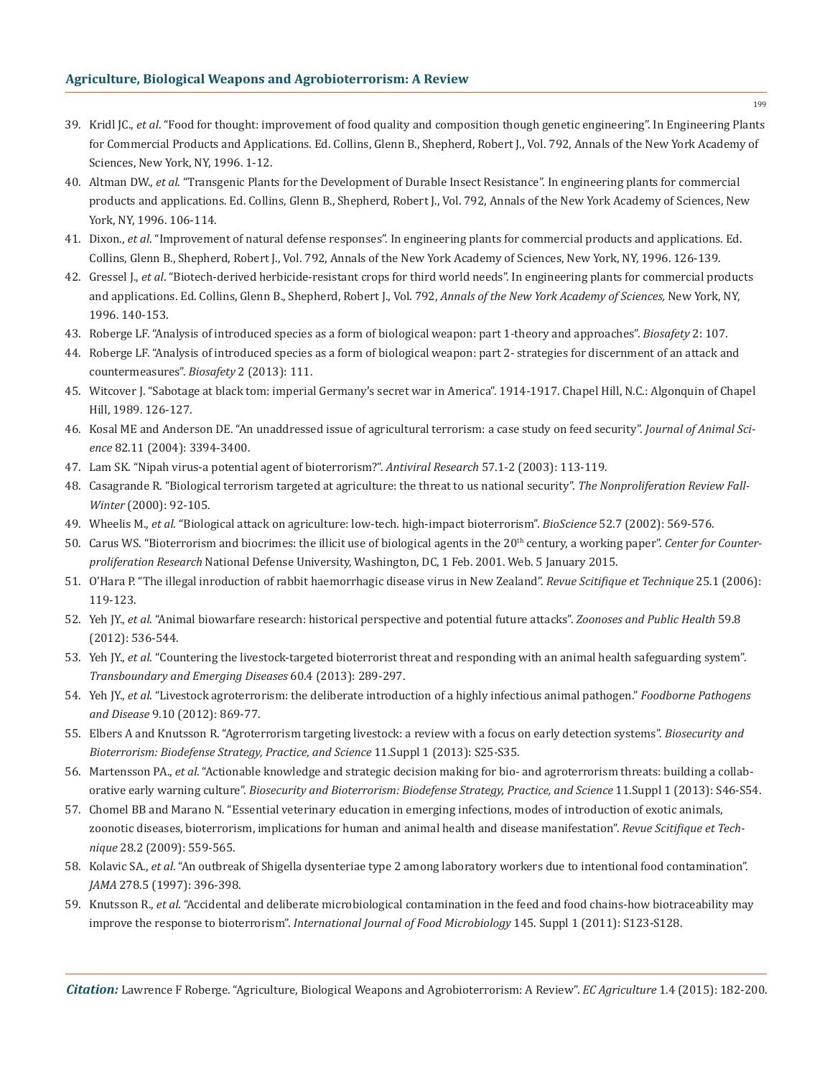- 39. Kridl JC., *et al*. "Food for thought: improvement of food quality and composition though genetic engineering". In Engineering Plants for Commercial Products and Applications. Ed. Collins, Glenn B., Shepherd, Robert J., Vol. 792, Annals of the New York Academy of Sciences, New York, NY, 1996. 1-12.
- 40. Altman DW., *et al*. "Transgenic Plants for the Development of Durable Insect Resistance". In engineering plants for commercial products and applications. Ed. Collins, Glenn B., Shepherd, Robert J., Vol. 792, Annals of the New York Academy of Sciences, New York, NY, 1996. 106-114.
- 41. Dixon., *et al*. "Improvement of natural defense responses". In engineering plants for commercial products and applications. Ed. Collins, Glenn B., Shepherd, Robert J., Vol. 792, Annals of the New York Academy of Sciences, New York, NY, 1996. 126-139.
- 42. Gressel J., *et al*. "Biotech-derived herbicide-resistant crops for third world needs". In engineering plants for commercial products and applications. Ed. Collins, Glenn B., Shepherd, Robert J., Vol. 792, *Annals of the New York Academy of Sciences,* New York, NY, 1996. 140-153.
- 43. Roberge LF. "Analysis of introduced species as a form of biological weapon: part 1-theory and approaches". *Biosafety* 2: 107.
- 44. Roberge LF. "Analysis of introduced species as a form of biological weapon: part 2- strategies for discernment of an attack and countermeasures". *Biosafety* 2 (2013): 111.
- 45. Witcover J. "Sabotage at black tom: imperial Germany's secret war in America". 1914-1917. Chapel Hill, N.C.: Algonquin of Chapel Hill, 1989. 126-127.
- 46. Kosal ME and Anderson DE. "An unaddressed issue of agricultural terrorism: a case study on feed security". *Journal of Animal Sci ence* 82.11 (2004): 3394-3400.
- 47. Lam SK. "Nipah virus-a potential agent of bioterrorism?". *Antiviral Research* 57.1-2 (2003): 113-119.
- 48. Casagrande R. "Biological terrorism targeted at agriculture: the threat to us national security". *The Nonproliferation Review Fall- Winter* (2000): 92-105.
- 49. Wheelis M., *et al*. "Biological attack on agriculture: low-tech. high-impact bioterrorism". *BioScience* 52.7 (2002): 569-576.
- 50. Carus WS. "Bioterrorism and biocrimes: the illicit use of biological agents in the 20th century, a working paper". *Center for Counter proliferation Research* National Defense University, Washington, DC, 1 Feb. 2001. Web. 5 January 2015.
- 51. O'Hara P. "The illegal inroduction of rabbit haemorrhagic disease virus in New Zealand". *Revue Scitifique et Technique* 25.1 (2006): 119-123.
- 52. Yeh JY., *et al*. "Animal biowarfare research: historical perspective and potential future attacks". *Zoonoses and Public Health* 59.8 (2012): 536-544.
- 53. Yeh JY., *et al*. "Countering the livestock-targeted bioterrorist threat and responding with an animal health safeguarding system". *Transboundary and Emerging Diseases* 60.4 (2013): 289-297.
- 54. Yeh JY., *et al*. "Livestock agroterrorism: the deliberate introduction of a highly infectious animal pathogen." *Foodborne Pathogens and Disease* 9.10 (2012): 869-77.
- 55. Elbers A and Knutsson R. "Agroterrorism targeting livestock: a review with a focus on early detection systems". *Biosecurity and Bioterrorism: Biodefense Strategy, Practice, and Science* 11.Suppl 1 (2013): S25-S35.
- 56. Martensson PA., *et al*. "Actionable knowledge and strategic decision making for bio- and agroterrorism threats: building a collab orative early warning culture". *Biosecurity and Bioterrorism: Biodefense Strategy, Practice, and Science* 11.Suppl 1 (2013): S46-S54.
- 57. Chomel BB and Marano N. "Essential veterinary education in emerging infections, modes of introduction of exotic animals, zoonotic diseases, bioterrorism, implications for human and animal health and disease manifestation". *Revue Scitifique et Tech nique* 28.2 (2009): 559-565.
- 58. Kolavic SA., *et al*. "An outbreak of Shigella dysenteriae type 2 among laboratory workers due to intentional food contamination". *JAMA* 278.5 (1997): 396-398.
- 59. Knutsson R., *et al*. "Accidental and deliberate microbiological contamination in the feed and food chains-how biotraceability may improve the response to bioterrorism". *International Journal of Food Microbiology* 145. Suppl 1 (2011): S123-S128.

*Citation:* Lawrence F Roberge. "Agriculture, Biological Weapons and Agrobioterrorism: A Review". *EC Agriculture* 1.4 (2015): 182-200.